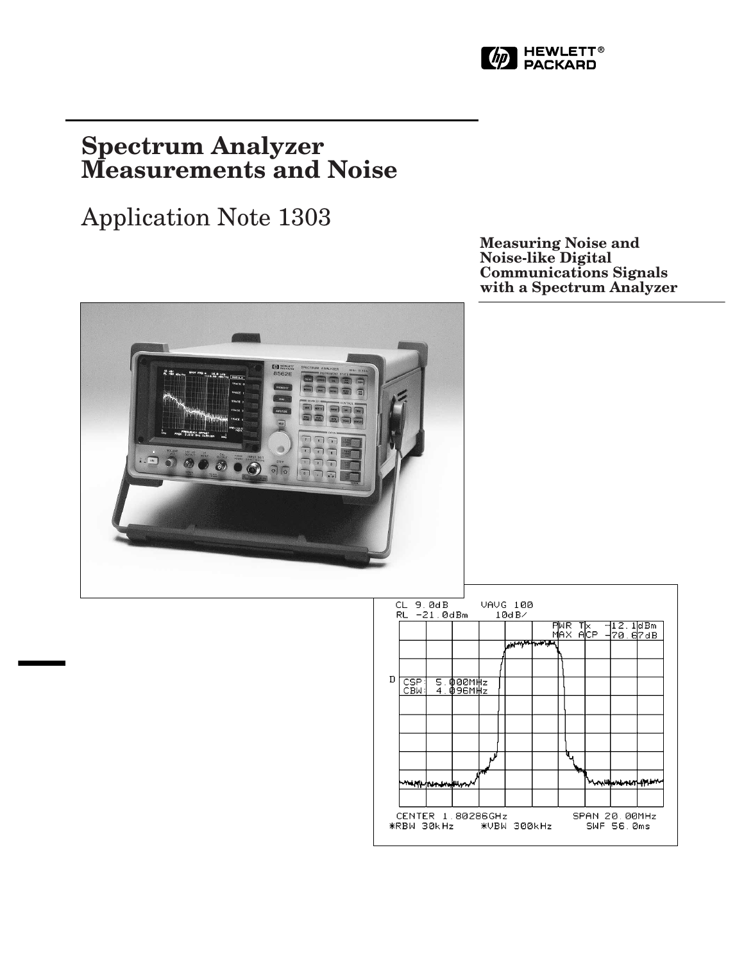

# **Spectrum Analyzer Measurements and Noise**

# Application Note 1303

**Measuring Noise and Noise-like Digital Communications Signals with a Spectrum Analyzer**



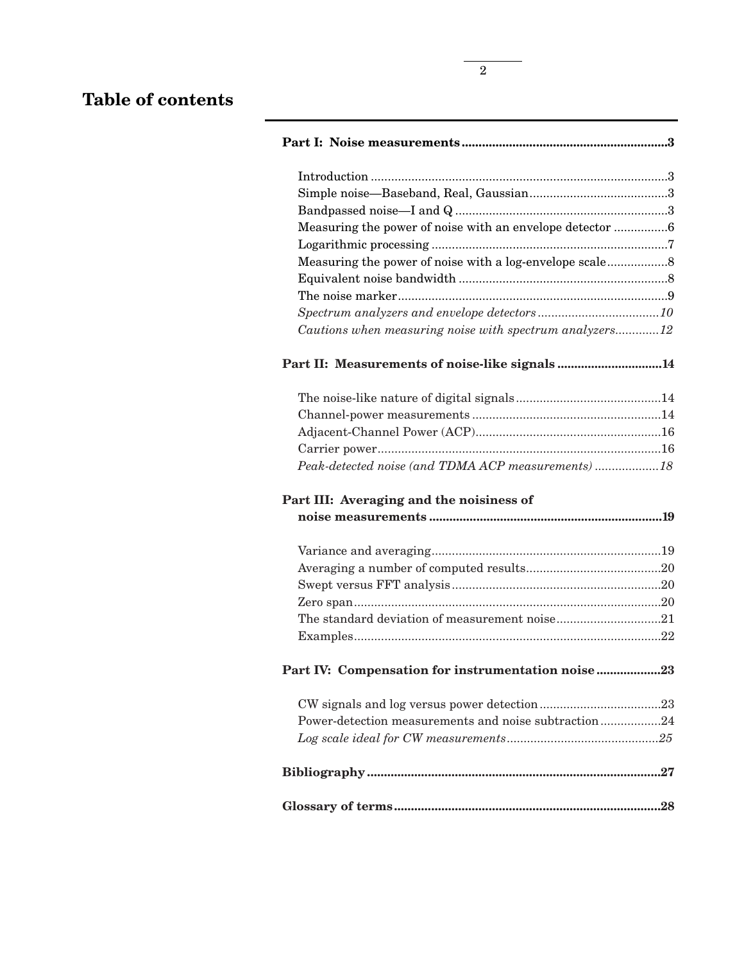# **Table of contents**

| Measuring the power of noise with an envelope detector 6 |
|----------------------------------------------------------|
|                                                          |
|                                                          |
|                                                          |
|                                                          |
|                                                          |
|                                                          |
| Cautions when measuring noise with spectrum analyzers12  |
| Part II: Measurements of noise-like signals14            |
|                                                          |
|                                                          |
|                                                          |
|                                                          |
| Peak-detected noise (and TDMA ACP measurements) 18       |
| Part III: Averaging and the noisiness of                 |
|                                                          |
|                                                          |
|                                                          |
|                                                          |
|                                                          |
|                                                          |
| The standard deviation of measurement noise21            |
|                                                          |
| Part IV: Compensation for instrumentation noise 23       |
|                                                          |
| Power-detection measurements and noise subtraction24     |
|                                                          |
|                                                          |
|                                                          |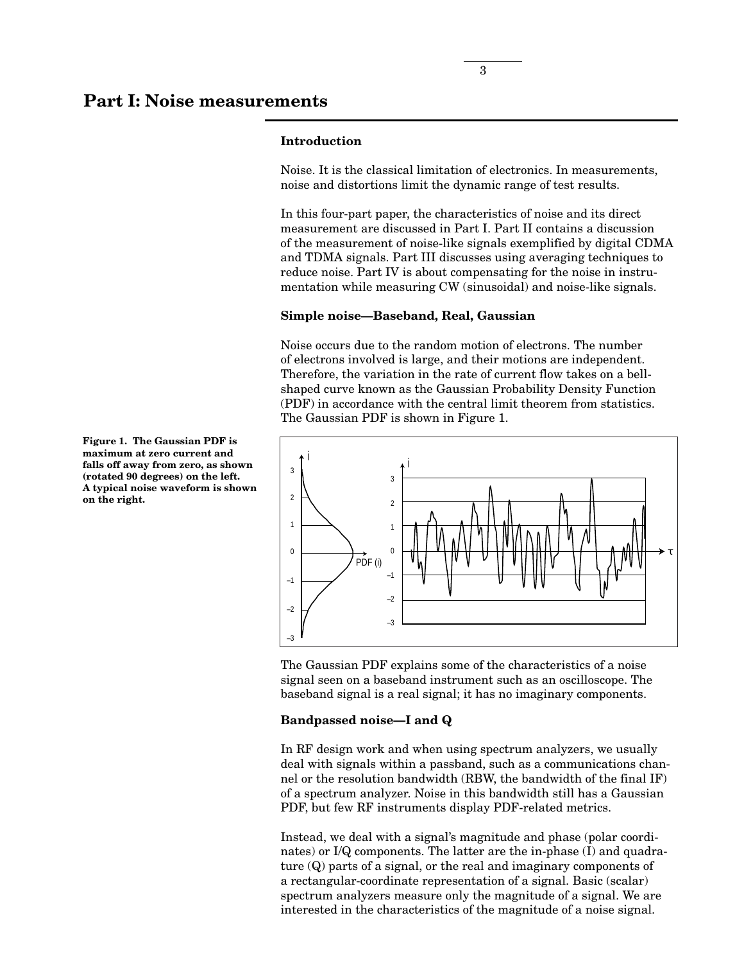#### **Introduction**

Noise. It is the classical limitation of electronics. In measurements, noise and distortions limit the dynamic range of test results.

In this four-part paper, the characteristics of noise and its direct measurement are discussed in Part I. Part II contains a discussion of the measurement of noise-like signals exemplified by digital CDMA and TDMA signals. Part III discusses using averaging techniques to reduce noise. Part IV is about compensating for the noise in instrumentation while measuring CW (sinusoidal) and noise-like signals.

#### **Simple noise—Baseband, Real, Gaussian**

Noise occurs due to the random motion of electrons. The number of electrons involved is large, and their motions are independent. Therefore, the variation in the rate of current flow takes on a bellshaped curve known as the Gaussian Probability Density Function (PDF) in accordance with the central limit theorem from statistics. The Gaussian PDF is shown in Figure 1.



The Gaussian PDF explains some of the characteristics of a noise signal seen on a baseband instrument such as an oscilloscope. The baseband signal is a real signal; it has no imaginary components.

#### **Bandpassed noise—I and Q**

In RF design work and when using spectrum analyzers, we usually deal with signals within a passband, such as a communications channel or the resolution bandwidth (RBW, the bandwidth of the final IF) of a spectrum analyzer. Noise in this bandwidth still has a Gaussian PDF, but few RF instruments display PDF-related metrics.

Instead, we deal with a signal's magnitude and phase (polar coordinates) or I/Q components. The latter are the in-phase (I) and quadrature (Q) parts of a signal, or the real and imaginary components of a rectangular-coordinate representation of a signal. Basic (scalar) spectrum analyzers measure only the magnitude of a signal. We are interested in the characteristics of the magnitude of a noise signal.

**Figure 1. The Gaussian PDF is maximum at zero current and falls off away from zero, as shown (rotated 90 degrees) on the left. A typical noise waveform is shown on the right.**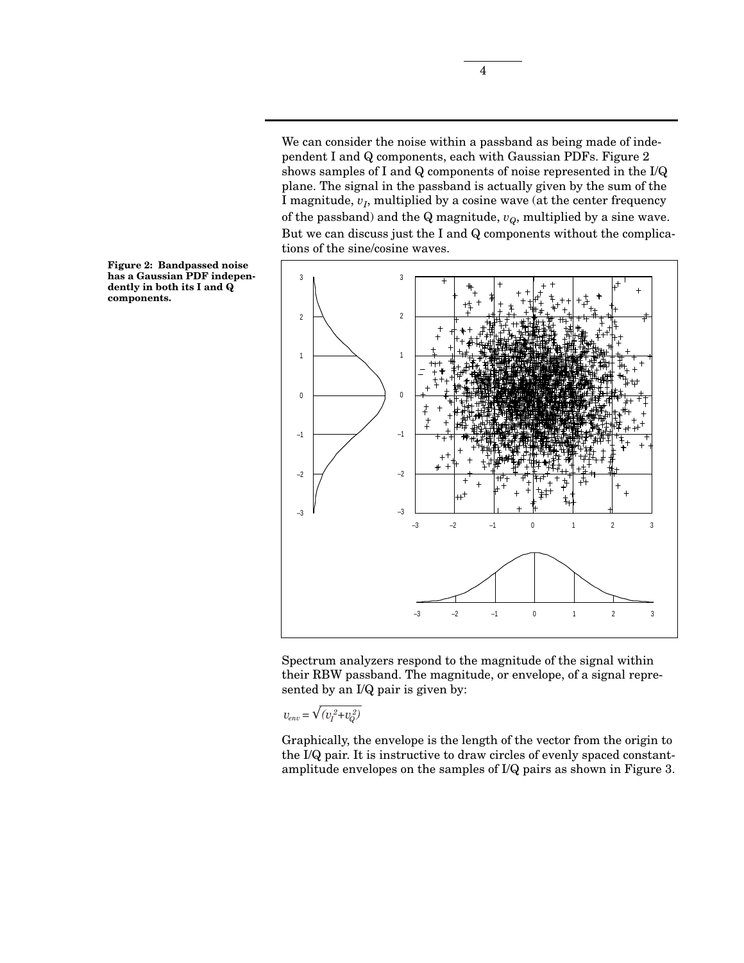We can consider the noise within a passband as being made of independent I and Q components, each with Gaussian PDFs. Figure 2 shows samples of I and Q components of noise represented in the I/Q plane. The signal in the passband is actually given by the sum of the I magnitude,  $v_I$ , multiplied by a cosine wave (at the center frequency of the passband) and the  $Q$  magnitude,  $v_Q$ , multiplied by a sine wave. But we can discuss just the I and Q components without the complications of the sine/cosine waves.



Spectrum analyzers respond to the magnitude of the signal within their RBW passband. The magnitude, or envelope, of a signal represented by an I/Q pair is given by:

$$
v_{env} = \sqrt{\left(v_I^2 + v_Q^2\right)}
$$

Graphically, the envelope is the length of the vector from the origin to the I/Q pair. It is instructive to draw circles of evenly spaced constantamplitude envelopes on the samples of I/Q pairs as shown in Figure 3.

**Figure 2: Bandpassed noise has a Gaussian PDF independently in both its I and Q components.**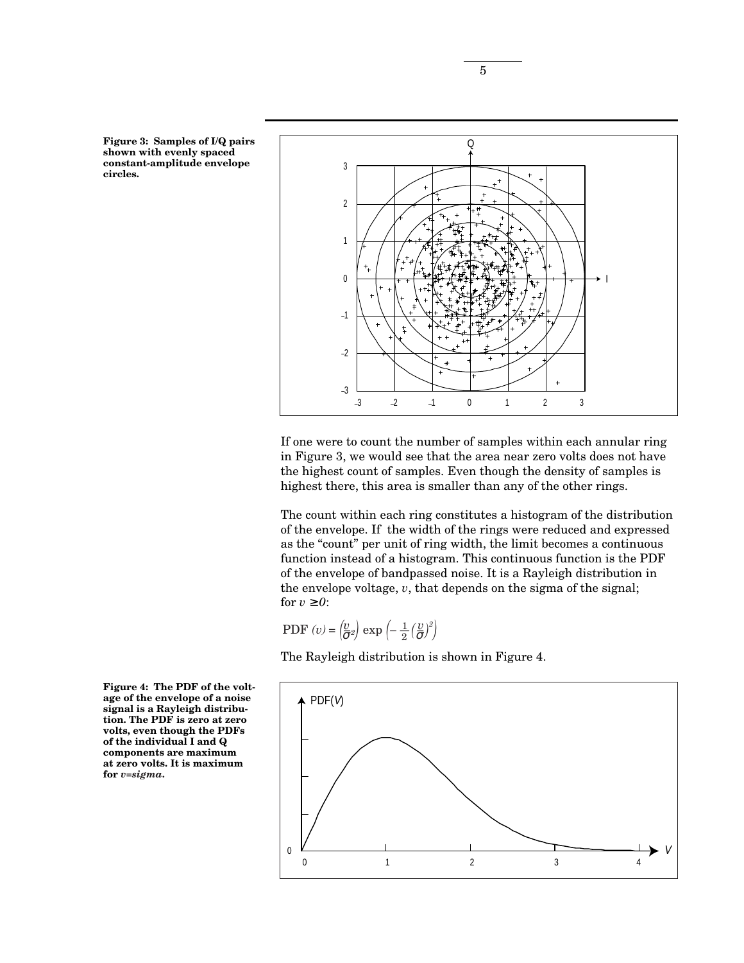**Figure 3: Samples of I/Q pairs shown with evenly spaced constant-amplitude envelope circles.**



If one were to count the number of samples within each annular ring in Figure 3, we would see that the area near zero volts does not have the highest count of samples. Even though the density of samples is highest there, this area is smaller than any of the other rings.

The count within each ring constitutes a histogram of the distribution of the envelope. If the width of the rings were reduced and expressed as the "count" per unit of ring width, the limit becomes a continuous function instead of a histogram. This continuous function is the PDF of the envelope of bandpassed noise. It is a Rayleigh distribution in the envelope voltage, *v*, that depends on the sigma of the signal; for  $v \geq 0$ :

PDF 
$$
(v) = \left(\frac{v}{\sigma^2}\right) \exp\left(-\frac{1}{2}\left(\frac{v}{\sigma}\right)^2\right)
$$

The Rayleigh distribution is shown in Figure 4.



**Figure 4: The PDF of the voltage of the envelope of a noise signal is a Rayleigh distribution. The PDF is zero at zero volts, even though the PDFs of the individual I and Q components are maximum at zero volts. It is maximum for** *v=sigma***.**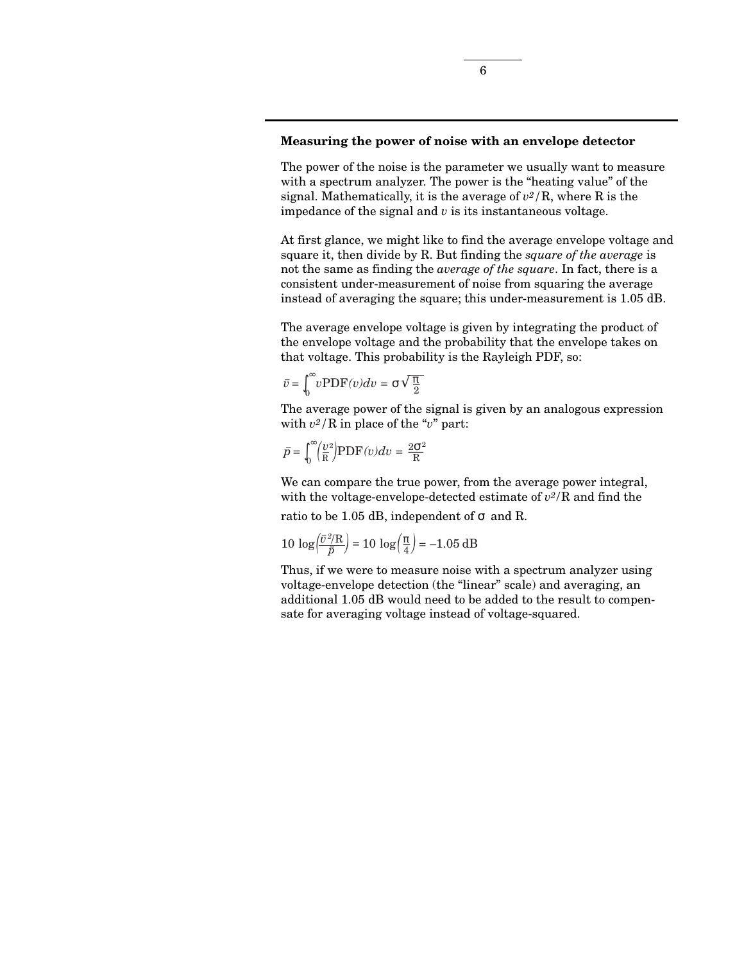## **Measuring the power of noise with an envelope detector**

The power of the noise is the parameter we usually want to measure with a spectrum analyzer. The power is the "heating value" of the signal. Mathematically, it is the average of *v2/*R, where R is the impedance of the signal and *v* is its instantaneous voltage.

At first glance, we might like to find the average envelope voltage and square it, then divide by R. But finding the *square of the average* is not the same as finding the *average of the square*. In fact, there is a consistent under-measurement of noise from squaring the average instead of averaging the square; this under-measurement is 1.05 dB.

The average envelope voltage is given by integrating the product of the envelope voltage and the probability that the envelope takes on that voltage. This probability is the Rayleigh PDF, so:

$$
\bar{v} = \int_0^\infty v \, \text{PDF}(v) \, dv = \sigma \sqrt{\frac{\pi}{2}}
$$

The average power of the signal is given by an analogous expression with *v2/*R in place of the "*v*" part:

$$
\bar{p} = \int_0^{\infty} \left(\frac{v^2}{R}\right) \text{PDF}(v) dv = \frac{2\sigma^2}{R}
$$

We can compare the true power, from the average power integral, with the voltage-envelope-detected estimate of *v2*/R and find the ratio to be 1.05 dB, independent of  $\sigma$  and R.

$$
10 \log \left( \frac{\bar{v}^2 / R}{\bar{p}} \right) = 10 \log \left( \frac{\pi}{4} \right) = -1.05 \, \text{dB}
$$

Thus, if we were to measure noise with a spectrum analyzer using voltage-envelope detection (the "linear" scale) and averaging, an additional 1.05 dB would need to be added to the result to compensate for averaging voltage instead of voltage-squared.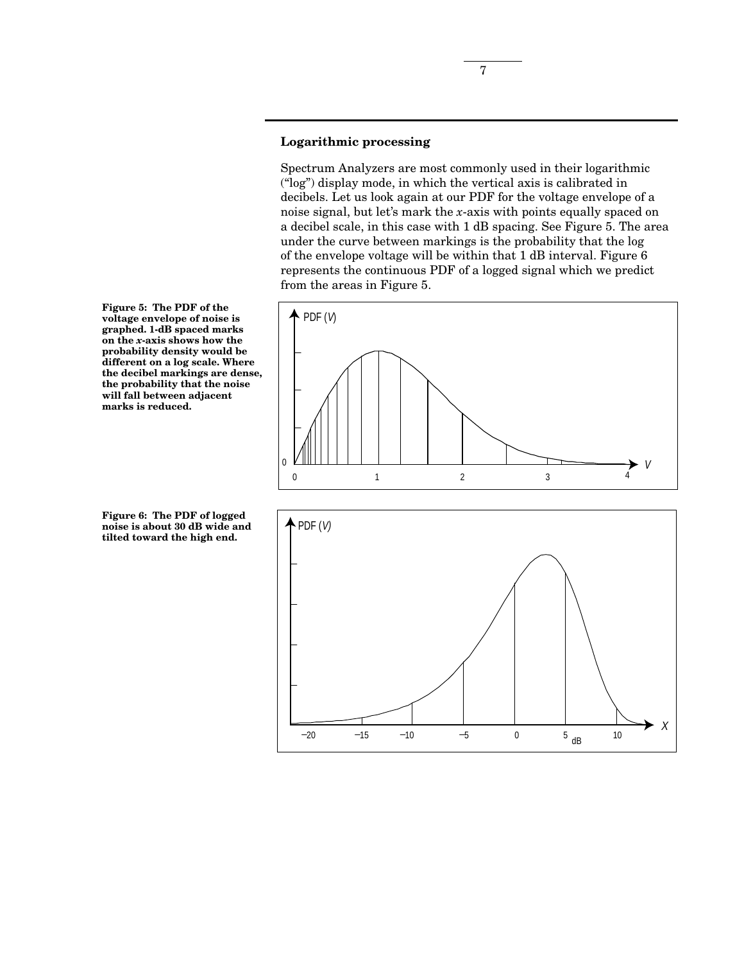## **Logarithmic processing**

Spectrum Analyzers are most commonly used in their logarithmic ("log") display mode, in which the vertical axis is calibrated in decibels. Let us look again at our PDF for the voltage envelope of a noise signal, but let's mark the *x*-axis with points equally spaced on a decibel scale, in this case with 1 dB spacing. See Figure 5. The area under the curve between markings is the probability that the log of the envelope voltage will be within that 1 dB interval. Figure 6 represents the continuous PDF of a logged signal which we predict from the areas in Figure 5.





**Figure 5: The PDF of the voltage envelope of noise is graphed. 1-dB spaced marks on the** *x***-axis shows how the probability density would be different on a log scale. Where the decibel markings are dense, the probability that the noise will fall between adjacent marks is reduced.**

**Figure 6: The PDF of logged noise is about 30 dB wide and tilted toward the high end.**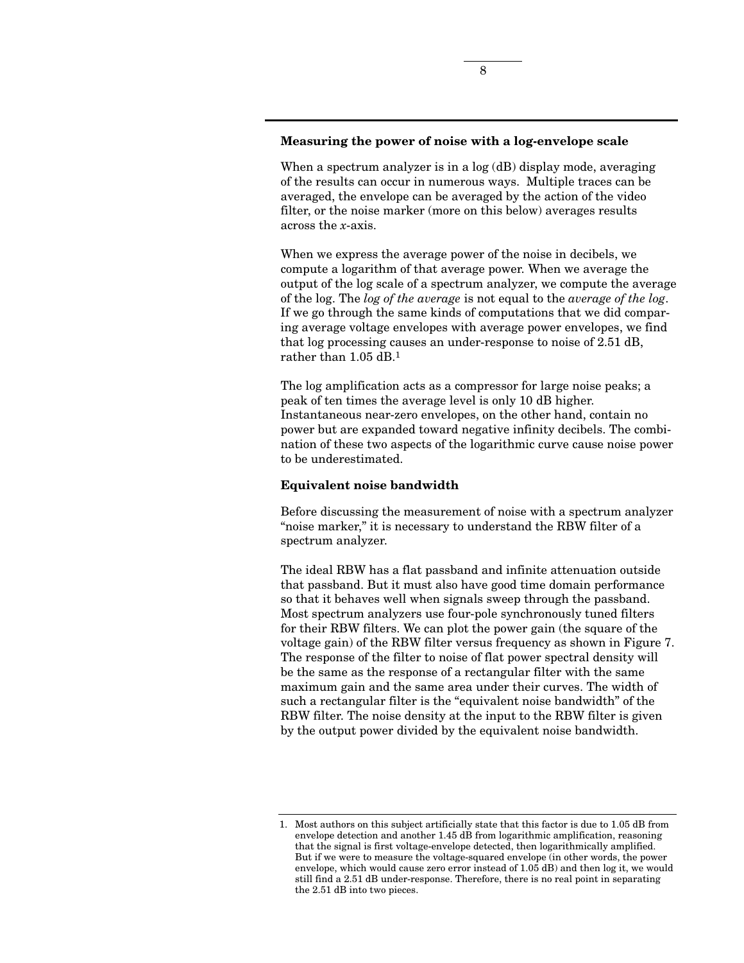#### **Measuring the power of noise with a log-envelope scale**

When a spectrum analyzer is in a log (dB) display mode, averaging of the results can occur in numerous ways. Multiple traces can be averaged, the envelope can be averaged by the action of the video filter, or the noise marker (more on this below) averages results across the *x*-axis.

When we express the average power of the noise in decibels, we compute a logarithm of that average power. When we average the output of the log scale of a spectrum analyzer, we compute the average of the log. The *log of the average* is not equal to the *average of the log*. If we go through the same kinds of computations that we did comparing average voltage envelopes with average power envelopes, we find that log processing causes an under-response to noise of 2.51 dB, rather than 1.05 dB.1

The log amplification acts as a compressor for large noise peaks; a peak of ten times the average level is only 10 dB higher. Instantaneous near-zero envelopes, on the other hand, contain no power but are expanded toward negative infinity decibels. The combination of these two aspects of the logarithmic curve cause noise power to be underestimated.

#### **Equivalent noise bandwidth**

Before discussing the measurement of noise with a spectrum analyzer "noise marker," it is necessary to understand the RBW filter of a spectrum analyzer.

The ideal RBW has a flat passband and infinite attenuation outside that passband. But it must also have good time domain performance so that it behaves well when signals sweep through the passband. Most spectrum analyzers use four-pole synchronously tuned filters for their RBW filters. We can plot the power gain (the square of the voltage gain) of the RBW filter versus frequency as shown in Figure 7. The response of the filter to noise of flat power spectral density will be the same as the response of a rectangular filter with the same maximum gain and the same area under their curves. The width of such a rectangular filter is the "equivalent noise bandwidth" of the RBW filter. The noise density at the input to the RBW filter is given by the output power divided by the equivalent noise bandwidth.

<sup>1.</sup> Most authors on this subject artificially state that this factor is due to 1.05 dB from envelope detection and another 1.45 dB from logarithmic amplification, reasoning that the signal is first voltage-envelope detected, then logarithmically amplified. But if we were to measure the voltage-squared envelope (in other words, the power envelope, which would cause zero error instead of 1.05 dB) and then log it, we would still find a 2.51 dB under-response. Therefore, there is no real point in separating the 2.51 dB into two pieces.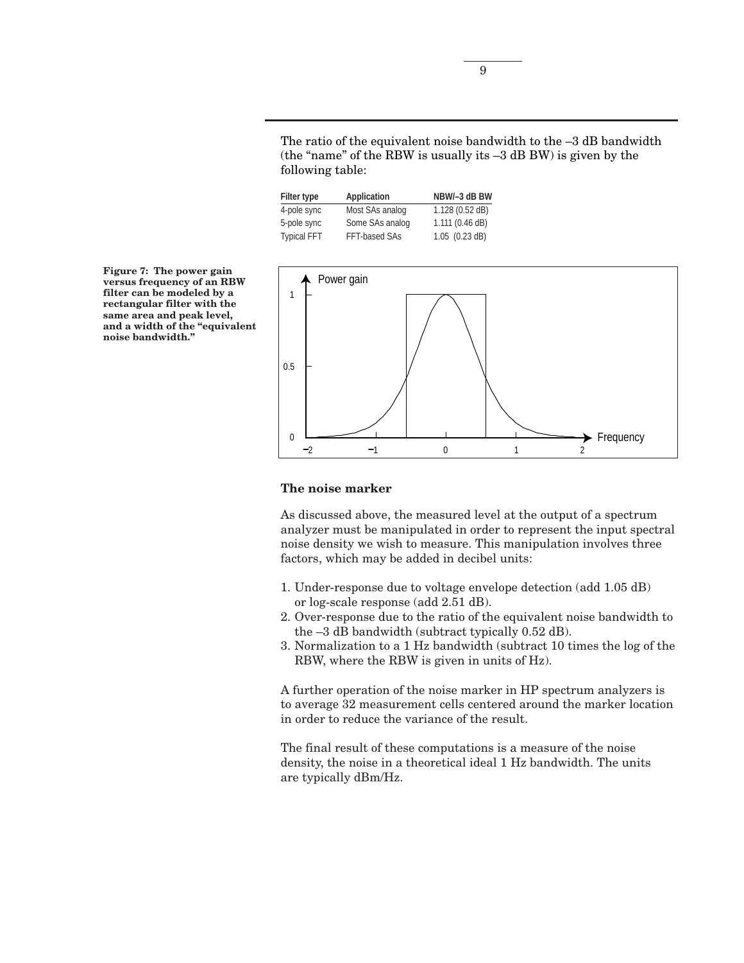The ratio of the equivalent noise bandwidth to the –3 dB bandwidth (the "name" of the RBW is usually its –3 dB BW) is given by the following table:

| <b>Filter type</b> | <b>Application</b> | NBW/-3 dB BW               |
|--------------------|--------------------|----------------------------|
| 4-pole sync        | Most SAs analog    | 1.128 (0.52 dB)            |
| 5-pole sync        | Some SAs analog    | 1.111 (0.46 dB)            |
| <b>Typical FFT</b> | FFT-based SAs      | $1.05$ $(0.23 \text{ dB})$ |



#### **The noise marker**

As discussed above, the measured level at the output of a spectrum analyzer must be manipulated in order to represent the input spectral noise density we wish to measure. This manipulation involves three factors, which may be added in decibel units:

- 1. Under-response due to voltage envelope detection (add 1.05 dB) or log-scale response (add 2.51 dB).
- 2. Over-response due to the ratio of the equivalent noise bandwidth to the –3 dB bandwidth (subtract typically 0.52 dB).
- 3. Normalization to a 1 Hz bandwidth (subtract 10 times the log of the RBW, where the RBW is given in units of Hz).

A further operation of the noise marker in HP spectrum analyzers is to average 32 measurement cells centered around the marker location in order to reduce the variance of the result.

The final result of these computations is a measure of the noise density, the noise in a theoretical ideal 1 Hz bandwidth. The units are typically dBm/Hz.

**Figure 7: The power gain versus frequency of an RBW filter can be modeled by a rectangular filter with the same area and peak level, and a width of the "equivalent noise bandwidth."**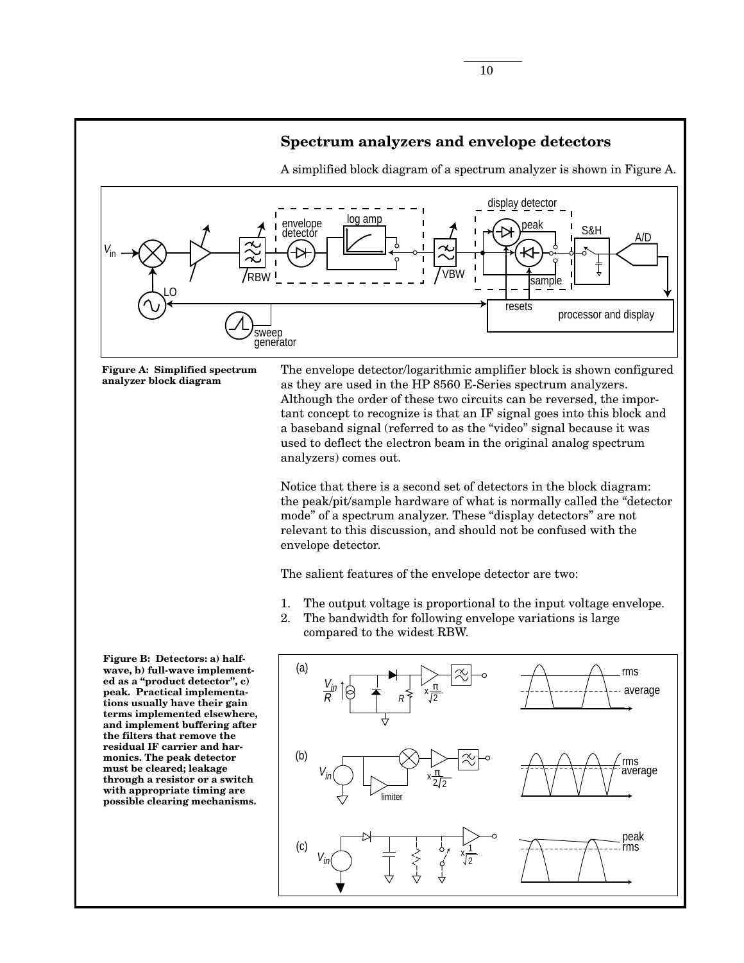

**Figure A: Simplified spectrum analyzer block diagram**

The envelope detector/logarithmic amplifier block is shown configured as they are used in the HP 8560 E-Series spectrum analyzers. Although the order of these two circuits can be reversed, the important concept to recognize is that an IF signal goes into this block and a baseband signal (referred to as the "video" signal because it was used to deflect the electron beam in the original analog spectrum analyzers) comes out.

Notice that there is a second set of detectors in the block diagram: the peak/pit/sample hardware of what is normally called the "detector mode" of a spectrum analyzer. These "display detectors" are not relevant to this discussion, and should not be confused with the envelope detector.

The salient features of the envelope detector are two:

- 1. The output voltage is proportional to the input voltage envelope.
- 2. The bandwidth for following envelope variations is large compared to the widest RBW.

**Figure B: Detectors: a) halfwave, b) full-wave implemented as a "product detector", c) peak. Practical implementations usually have their gain terms implemented elsewhere, and implement buffering after the filters that remove the residual IF carrier and harmonics. The peak detector must be cleared; leakage through a resistor or a switch with appropriate timing are possible clearing mechanisms.**

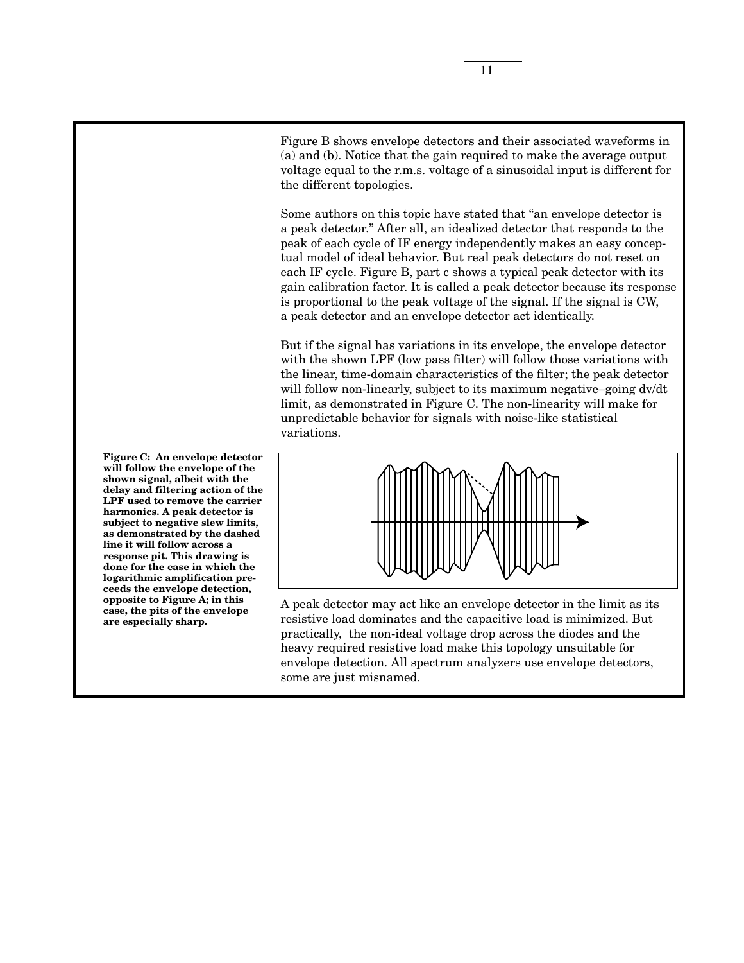Figure B shows envelope detectors and their associated waveforms in (a) and (b). Notice that the gain required to make the average output voltage equal to the r.m.s. voltage of a sinusoidal input is different for the different topologies.

Some authors on this topic have stated that "an envelope detector is a peak detector." After all, an idealized detector that responds to the peak of each cycle of IF energy independently makes an easy conceptual model of ideal behavior. But real peak detectors do not reset on each IF cycle. Figure B, part c shows a typical peak detector with its gain calibration factor. It is called a peak detector because its response is proportional to the peak voltage of the signal. If the signal is CW, a peak detector and an envelope detector act identically.

But if the signal has variations in its envelope, the envelope detector with the shown LPF (low pass filter) will follow those variations with the linear, time-domain characteristics of the filter; the peak detector will follow non-linearly, subject to its maximum negative–going dv/dt limit, as demonstrated in Figure C. The non-linearity will make for unpredictable behavior for signals with noise-like statistical variations.



A peak detector may act like an envelope detector in the limit as its resistive load dominates and the capacitive load is minimized. But practically, the non-ideal voltage drop across the diodes and the heavy required resistive load make this topology unsuitable for envelope detection. All spectrum analyzers use envelope detectors, some are just misnamed.

**Figure C: An envelope detector will follow the envelope of the shown signal, albeit with the delay and filtering action of the LPF used to remove the carrier harmonics. A peak detector is subject to negative slew limits, as demonstrated by the dashed line it will follow across a response pit. This drawing is done for the case in which the logarithmic amplification preceeds the envelope detection, opposite to Figure A; in this case, the pits of the envelope are especially sharp.**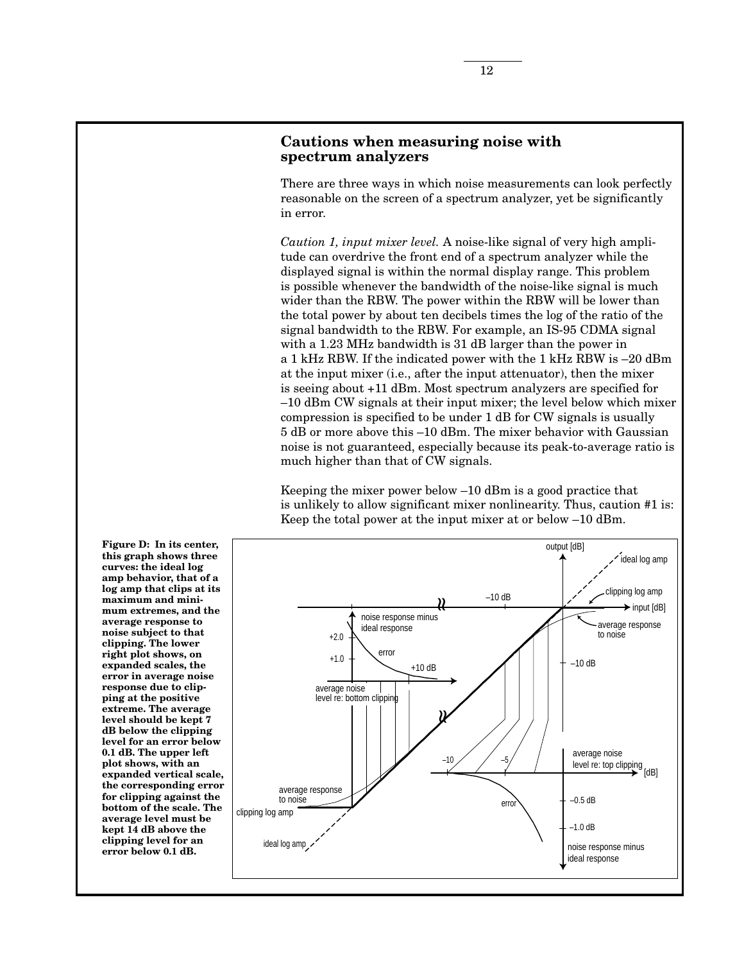# **Cautions when measuring noise with spectrum analyzers**

There are three ways in which noise measurements can look perfectly reasonable on the screen of a spectrum analyzer, yet be significantly in error.

*Caution 1, input mixer level.* A noise-like signal of very high amplitude can overdrive the front end of a spectrum analyzer while the displayed signal is within the normal display range. This problem is possible whenever the bandwidth of the noise-like signal is much wider than the RBW. The power within the RBW will be lower than the total power by about ten decibels times the log of the ratio of the signal bandwidth to the RBW. For example, an IS-95 CDMA signal with a 1.23 MHz bandwidth is 31 dB larger than the power in a 1 kHz RBW. If the indicated power with the 1 kHz RBW is –20 dBm at the input mixer (i.e., after the input attenuator), then the mixer is seeing about +11 dBm. Most spectrum analyzers are specified for –10 dBm CW signals at their input mixer; the level below which mixer compression is specified to be under 1 dB for CW signals is usually 5 dB or more above this –10 dBm. The mixer behavior with Gaussian noise is not guaranteed, especially because its peak-to-average ratio is much higher than that of CW signals.

Keeping the mixer power below –10 dBm is a good practice that is unlikely to allow significant mixer nonlinearity. Thus, caution #1 is: Keep the total power at the input mixer at or below –10 dBm.



**Figure D: In its center, this graph shows three curves: the ideal log amp behavior, that of a log amp that clips at its maximum and minimum extremes, and the average response to noise subject to that clipping. The lower right plot shows, on expanded scales, the error in average noise response due to clipping at the positive extreme. The average level should be kept 7 dB below the clipping level for an error below 0.1 dB. The upper left plot shows, with an expanded vertical scale, the corresponding error for clipping against the bottom of the scale. The average level must be kept 14 dB above the clipping level for an error below 0.1 dB.**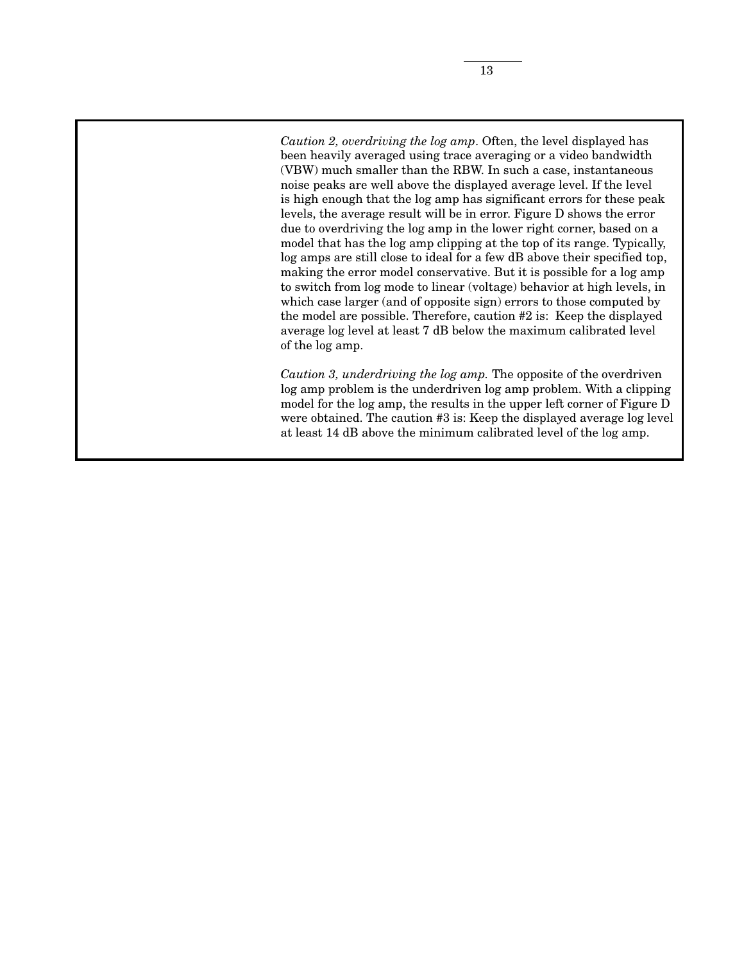*Caution 2, overdriving the log amp*. Often, the level displayed has been heavily averaged using trace averaging or a video bandwidth (VBW) much smaller than the RBW. In such a case, instantaneous noise peaks are well above the displayed average level. If the level is high enough that the log amp has significant errors for these peak levels, the average result will be in error. Figure D shows the error due to overdriving the log amp in the lower right corner, based on a model that has the log amp clipping at the top of its range. Typically, log amps are still close to ideal for a few dB above their specified top, making the error model conservative. But it is possible for a log amp to switch from log mode to linear (voltage) behavior at high levels, in which case larger (and of opposite sign) errors to those computed by the model are possible. Therefore, caution #2 is: Keep the displayed average log level at least 7 dB below the maximum calibrated level of the log amp.

*Caution 3, underdriving the log amp.* The opposite of the overdriven log amp problem is the underdriven log amp problem. With a clipping model for the log amp, the results in the upper left corner of Figure D were obtained. The caution #3 is: Keep the displayed average log level at least 14 dB above the minimum calibrated level of the log amp.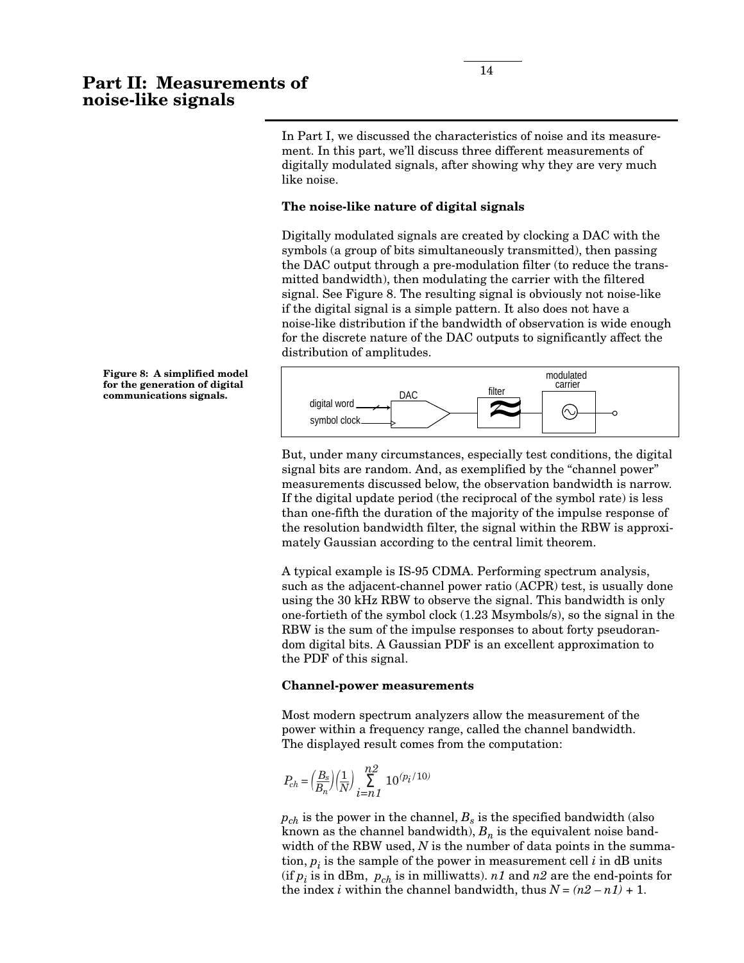In Part I, we discussed the characteristics of noise and its measurement. In this part, we'll discuss three different measurements of digitally modulated signals, after showing why they are very much like noise.

### **The noise-like nature of digital signals**

Digitally modulated signals are created by clocking a DAC with the symbols (a group of bits simultaneously transmitted), then passing the DAC output through a pre-modulation filter (to reduce the transmitted bandwidth), then modulating the carrier with the filtered signal. See Figure 8. The resulting signal is obviously not noise-like if the digital signal is a simple pattern. It also does not have a noise-like distribution if the bandwidth of observation is wide enough for the discrete nature of the DAC outputs to significantly affect the distribution of amplitudes.



But, under many circumstances, especially test conditions, the digital signal bits are random. And, as exemplified by the "channel power" measurements discussed below, the observation bandwidth is narrow. If the digital update period (the reciprocal of the symbol rate) is less than one-fifth the duration of the majority of the impulse response of the resolution bandwidth filter, the signal within the RBW is approximately Gaussian according to the central limit theorem.

A typical example is IS-95 CDMA. Performing spectrum analysis, such as the adjacent-channel power ratio (ACPR) test, is usually done using the 30 kHz RBW to observe the signal. This bandwidth is only one-fortieth of the symbol clock (1.23 Msymbols/s), so the signal in the RBW is the sum of the impulse responses to about forty pseudorandom digital bits. A Gaussian PDF is an excellent approximation to the PDF of this signal.

#### **Channel-power measurements**

Most modern spectrum analyzers allow the measurement of the power within a frequency range, called the channel bandwidth. The displayed result comes from the computation:

$$
P_{ch} = \left(\frac{B_s}{B_n}\right)\left(\frac{1}{N}\right)\sum_{i=n1}^{n2} 10^{(p_i/10)}
$$

 $p_{ch}$  is the power in the channel,  $B_s$  is the specified bandwidth (also known as the channel bandwidth),  $B_n$  is the equivalent noise bandwidth of the RBW used, N is the number of data points in the summation,  $p_i$  is the sample of the power in measurement cell  $i$  in dB units (if  $p_i$  is in dBm,  $p_{ch}$  is in milliwatts). *n1* and *n2* are the end-points for the index *i* within the channel bandwidth, thus  $N = (n2 - n1) + 1$ .

**Figure 8: A simplified model for the generation of digital**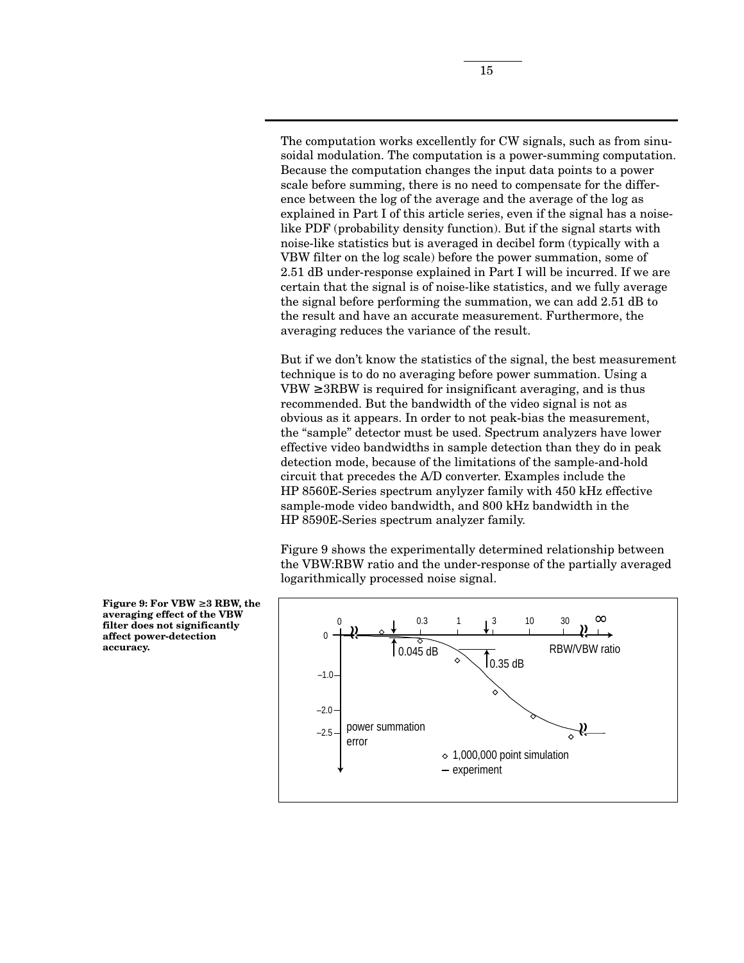The computation works excellently for CW signals, such as from sinusoidal modulation. The computation is a power-summing computation. Because the computation changes the input data points to a power scale before summing, there is no need to compensate for the difference between the log of the average and the average of the log as explained in Part I of this article series, even if the signal has a noiselike PDF (probability density function). But if the signal starts with noise-like statistics but is averaged in decibel form (typically with a VBW filter on the log scale) before the power summation, some of 2.51 dB under-response explained in Part I will be incurred. If we are certain that the signal is of noise-like statistics, and we fully average the signal before performing the summation, we can add 2.51 dB to the result and have an accurate measurement. Furthermore, the averaging reduces the variance of the result.

But if we don't know the statistics of the signal, the best measurement technique is to do no averaging before power summation. Using a  $VBW \geq 3RBW$  is required for insignificant averaging, and is thus recommended. But the bandwidth of the video signal is not as obvious as it appears. In order to not peak-bias the measurement, the "sample" detector must be used. Spectrum analyzers have lower effective video bandwidths in sample detection than they do in peak detection mode, because of the limitations of the sample-and-hold circuit that precedes the A/D converter. Examples include the HP 8560E-Series spectrum anylyzer family with 450 kHz effective sample-mode video bandwidth, and 800 kHz bandwidth in the HP 8590E-Series spectrum analyzer family.

Figure 9 shows the experimentally determined relationship between the VBW:RBW ratio and the under-response of the partially averaged logarithmically processed noise signal.



**Figure 9: For VBW** ≥ **3 RBW, the averaging effect of the VBW filter does not significantly affect power-detection accuracy.**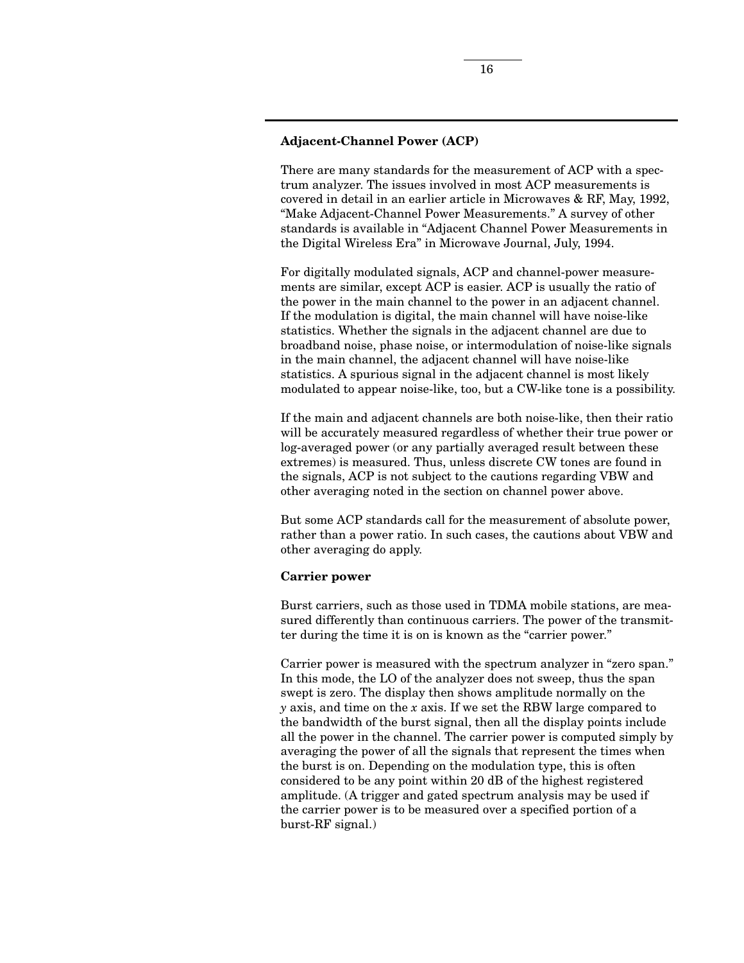### **Adjacent-Channel Power (ACP)**

There are many standards for the measurement of ACP with a spectrum analyzer. The issues involved in most ACP measurements is covered in detail in an earlier article in Microwaves & RF, May, 1992, "Make Adjacent-Channel Power Measurements." A survey of other standards is available in "Adjacent Channel Power Measurements in the Digital Wireless Era" in Microwave Journal, July, 1994.

For digitally modulated signals, ACP and channel-power measurements are similar, except ACP is easier. ACP is usually the ratio of the power in the main channel to the power in an adjacent channel. If the modulation is digital, the main channel will have noise-like statistics. Whether the signals in the adjacent channel are due to broadband noise, phase noise, or intermodulation of noise-like signals in the main channel, the adjacent channel will have noise-like statistics. A spurious signal in the adjacent channel is most likely modulated to appear noise-like, too, but a CW-like tone is a possibility.

If the main and adjacent channels are both noise-like, then their ratio will be accurately measured regardless of whether their true power or log-averaged power (or any partially averaged result between these extremes) is measured. Thus, unless discrete CW tones are found in the signals, ACP is not subject to the cautions regarding VBW and other averaging noted in the section on channel power above.

But some ACP standards call for the measurement of absolute power, rather than a power ratio. In such cases, the cautions about VBW and other averaging do apply.

#### **Carrier power**

Burst carriers, such as those used in TDMA mobile stations, are measured differently than continuous carriers. The power of the transmitter during the time it is on is known as the "carrier power."

Carrier power is measured with the spectrum analyzer in "zero span." In this mode, the LO of the analyzer does not sweep, thus the span swept is zero. The display then shows amplitude normally on the *y* axis, and time on the *x* axis. If we set the RBW large compared to the bandwidth of the burst signal, then all the display points include all the power in the channel. The carrier power is computed simply by averaging the power of all the signals that represent the times when the burst is on. Depending on the modulation type, this is often considered to be any point within 20 dB of the highest registered amplitude. (A trigger and gated spectrum analysis may be used if the carrier power is to be measured over a specified portion of a burst-RF signal.)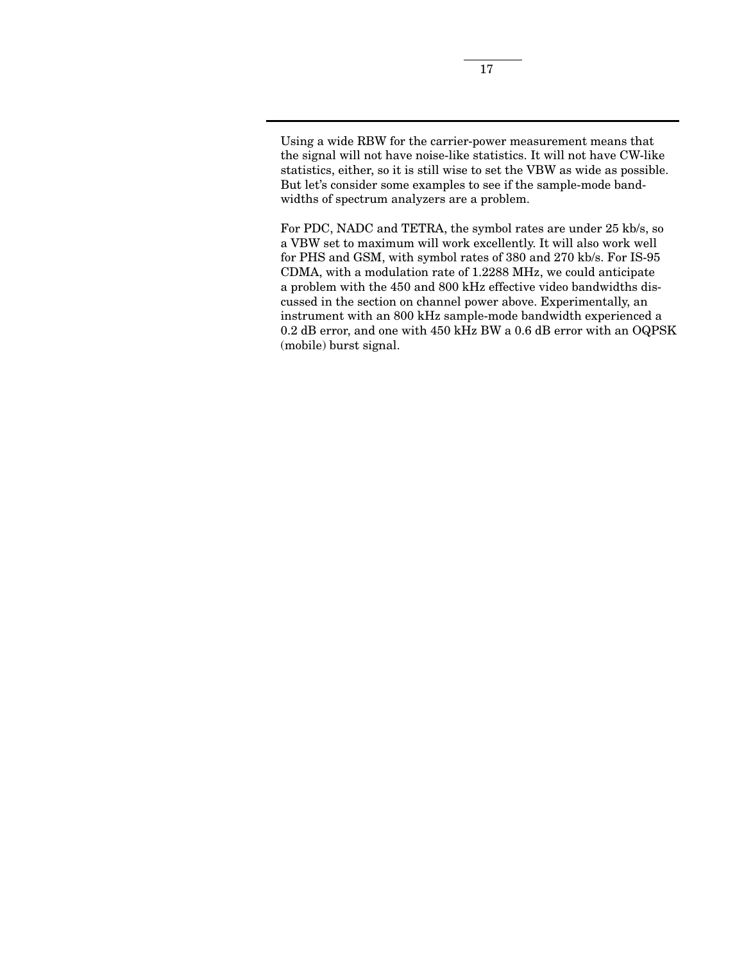Using a wide RBW for the carrier-power measurement means that the signal will not have noise-like statistics. It will not have CW-like statistics, either, so it is still wise to set the VBW as wide as possible. But let's consider some examples to see if the sample-mode bandwidths of spectrum analyzers are a problem.

For PDC, NADC and TETRA, the symbol rates are under 25 kb/s, so a VBW set to maximum will work excellently. It will also work well for PHS and GSM, with symbol rates of 380 and 270 kb/s. For IS-95 CDMA, with a modulation rate of 1.2288 MHz, we could anticipate a problem with the 450 and 800 kHz effective video bandwidths discussed in the section on channel power above. Experimentally, an instrument with an 800 kHz sample-mode bandwidth experienced a 0.2 dB error, and one with 450 kHz BW a 0.6 dB error with an OQPSK (mobile) burst signal.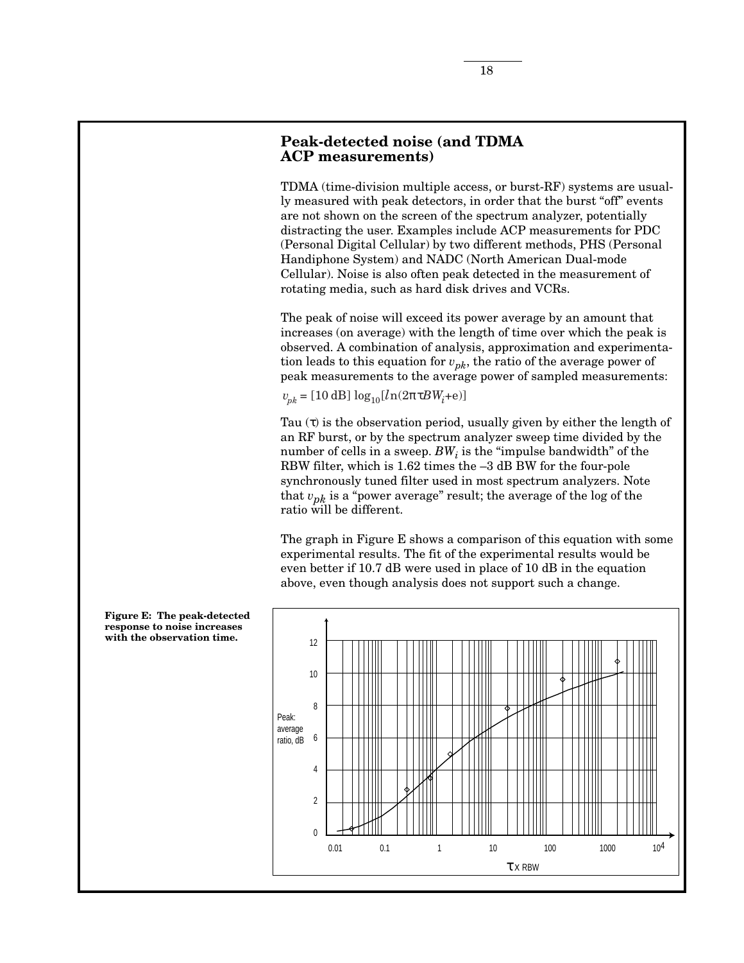# **Peak-detected noise (and TDMA ACP measurements)**

TDMA (time-division multiple access, or burst-RF) systems are usually measured with peak detectors, in order that the burst "off" events are not shown on the screen of the spectrum analyzer, potentially distracting the user. Examples include ACP measurements for PDC (Personal Digital Cellular) by two different methods, PHS (Personal Handiphone System) and NADC (North American Dual-mode Cellular). Noise is also often peak detected in the measurement of rotating media, such as hard disk drives and VCRs.

The peak of noise will exceed its power average by an amount that increases (on average) with the length of time over which the peak is observed. A combination of analysis, approximation and experimentation leads to this equation for  $v_{pk}$ , the ratio of the average power of peak measurements to the average power of sampled measurements:

 $v_{pk} = [10$  dB]  $\log_{10}[ln(2πτBW_i+e)]$ 

Tau  $(\tau)$  is the observation period, usually given by either the length of an RF burst, or by the spectrum analyzer sweep time divided by the number of cells in a sweep.  $BW_i$  is the "impulse bandwidth" of the RBW filter, which is 1.62 times the –3 dB BW for the four-pole synchronously tuned filter used in most spectrum analyzers. Note that  $v_{pk}$  is a "power average" result; the average of the log of the ratio will be different.

The graph in Figure E shows a comparison of this equation with some experimental results. The fit of the experimental results would be even better if 10.7 dB were used in place of 10 dB in the equation above, even though analysis does not support such a change.



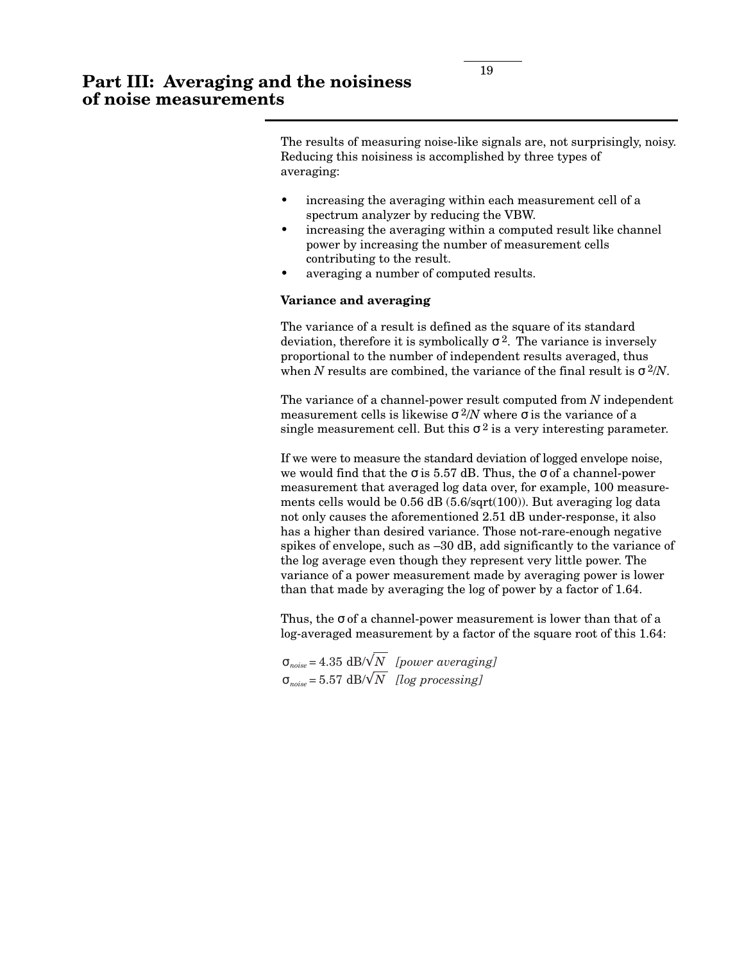The results of measuring noise-like signals are, not surprisingly, noisy. Reducing this noisiness is accomplished by three types of averaging:

- increasing the averaging within each measurement cell of a spectrum analyzer by reducing the VBW.
- increasing the averaging within a computed result like channel power by increasing the number of measurement cells contributing to the result.
- averaging a number of computed results.

## **Variance and averaging**

The variance of a result is defined as the square of its standard deviation, therefore it is symbolically  $\sigma^2$ . The variance is inversely proportional to the number of independent results averaged, thus when *N* results are combined, the variance of the final result is  $\sigma^2/N$ .

The variance of a channel-power result computed from *N* independent measurement cells is likewise  $\sigma^2/N$  where  $\sigma$  is the variance of a single measurement cell. But this  $\sigma^2$  is a very interesting parameter.

If we were to measure the standard deviation of logged envelope noise, we would find that the  $\sigma$  is 5.57 dB. Thus, the  $\sigma$  of a channel-power measurement that averaged log data over, for example, 100 measurements cells would be 0.56 dB (5.6/sqrt(100)). But averaging log data not only causes the aforementioned 2.51 dB under-response, it also has a higher than desired variance. Those not-rare-enough negative spikes of envelope, such as –30 dB, add significantly to the variance of the log average even though they represent very little power. The variance of a power measurement made by averaging power is lower than that made by averaging the log of power by a factor of 1.64.

Thus, the  $\sigma$  of a channel-power measurement is lower than that of a log-averaged measurement by a factor of the square root of this 1.64:

σ*noise =* 4.35 dB/√*N [power averaging]*  $\sigma_{noise} = 5.57 \text{ dB} / \sqrt{N}$  *[log processing]*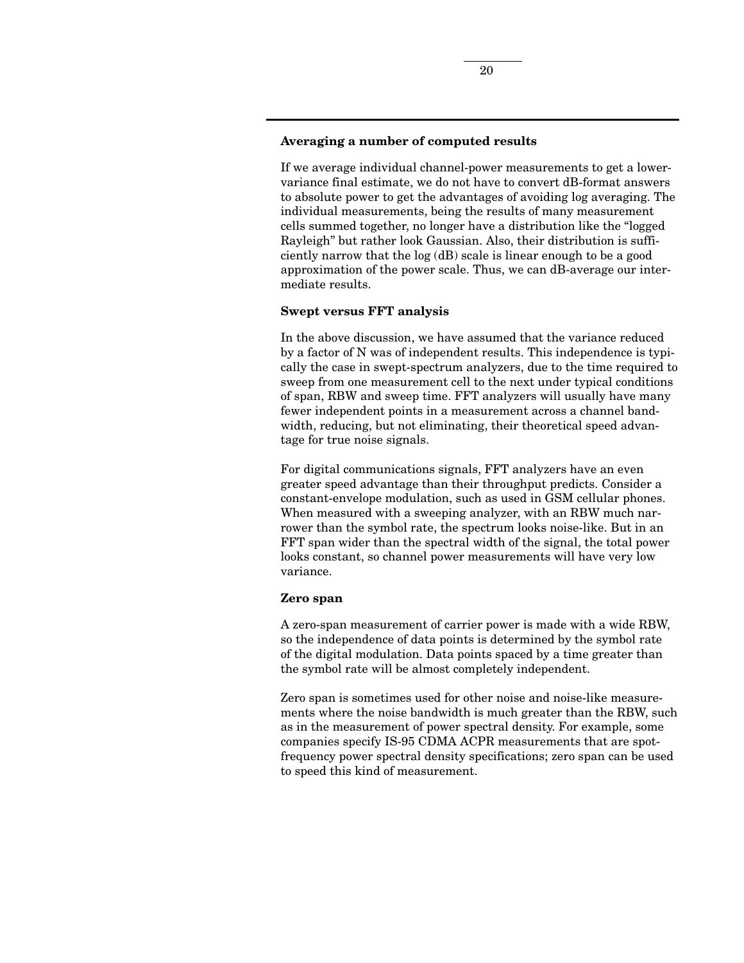## **Averaging a number of computed results**

If we average individual channel-power measurements to get a lowervariance final estimate, we do not have to convert dB-format answers to absolute power to get the advantages of avoiding log averaging. The individual measurements, being the results of many measurement cells summed together, no longer have a distribution like the "logged Rayleigh" but rather look Gaussian. Also, their distribution is sufficiently narrow that the log (dB) scale is linear enough to be a good approximation of the power scale. Thus, we can dB-average our intermediate results.

## **Swept versus FFT analysis**

In the above discussion, we have assumed that the variance reduced by a factor of N was of independent results. This independence is typically the case in swept-spectrum analyzers, due to the time required to sweep from one measurement cell to the next under typical conditions of span, RBW and sweep time. FFT analyzers will usually have many fewer independent points in a measurement across a channel bandwidth, reducing, but not eliminating, their theoretical speed advantage for true noise signals.

For digital communications signals, FFT analyzers have an even greater speed advantage than their throughput predicts. Consider a constant-envelope modulation, such as used in GSM cellular phones. When measured with a sweeping analyzer, with an RBW much narrower than the symbol rate, the spectrum looks noise-like. But in an FFT span wider than the spectral width of the signal, the total power looks constant, so channel power measurements will have very low variance.

#### **Zero span**

A zero-span measurement of carrier power is made with a wide RBW, so the independence of data points is determined by the symbol rate of the digital modulation. Data points spaced by a time greater than the symbol rate will be almost completely independent.

Zero span is sometimes used for other noise and noise-like measurements where the noise bandwidth is much greater than the RBW, such as in the measurement of power spectral density. For example, some companies specify IS-95 CDMA ACPR measurements that are spotfrequency power spectral density specifications; zero span can be used to speed this kind of measurement.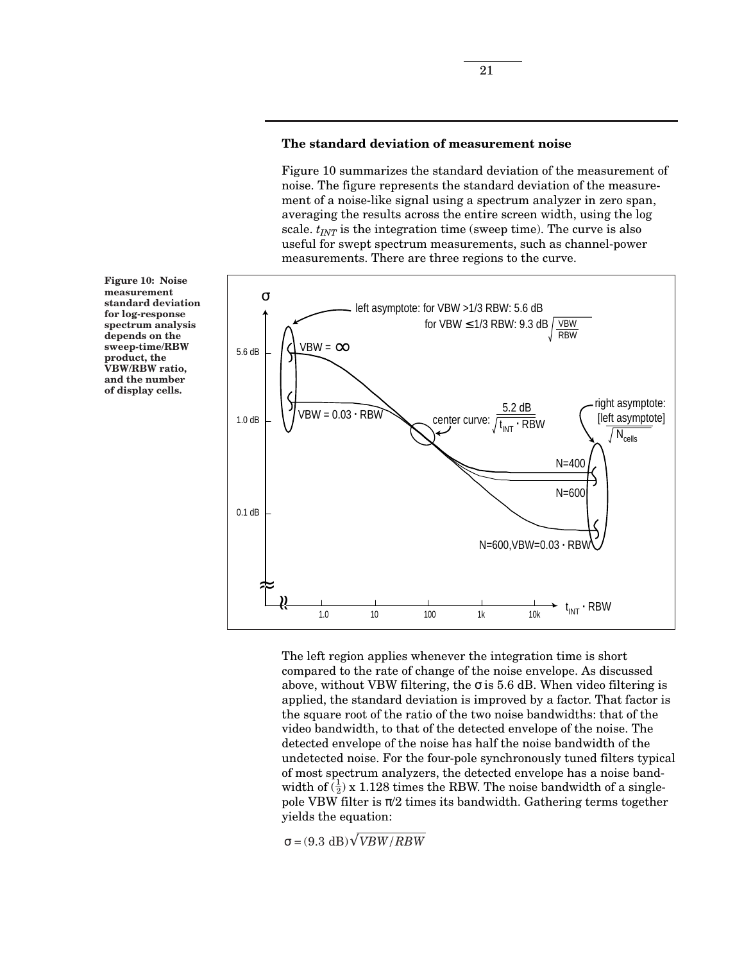### **The standard deviation of measurement noise**

Figure 10 summarizes the standard deviation of the measurement of noise. The figure represents the standard deviation of the measurement of a noise-like signal using a spectrum analyzer in zero span, averaging the results across the entire screen width, using the log scale.  $t_{INT}$  is the integration time (sweep time). The curve is also useful for swept spectrum measurements, such as channel-power measurements. There are three regions to the curve.



The left region applies whenever the integration time is short compared to the rate of change of the noise envelope. As discussed above, without VBW filtering, the  $\sigma$  is 5.6 dB. When video filtering is applied, the standard deviation is improved by a factor. That factor is the square root of the ratio of the two noise bandwidths: that of the video bandwidth, to that of the detected envelope of the noise. The detected envelope of the noise has half the noise bandwidth of the undetected noise. For the four-pole synchronously tuned filters typical of most spectrum analyzers, the detected envelope has a noise bandwidth of  $(\frac{1}{2})$  x 1.128 times the RBW. The noise bandwidth of a singlepole VBW filter is  $\pi/2$  times its bandwidth. Gathering terms together yields the equation:

 $\sigma = (9.3 \text{ dB}) \sqrt{VBW/RBW}$ 

**Figure 10: Noise measurement standard deviation for log-response spectrum analysis depends on the sweep-time/RBW product, the VBW/RBW ratio, and the number of display cells.**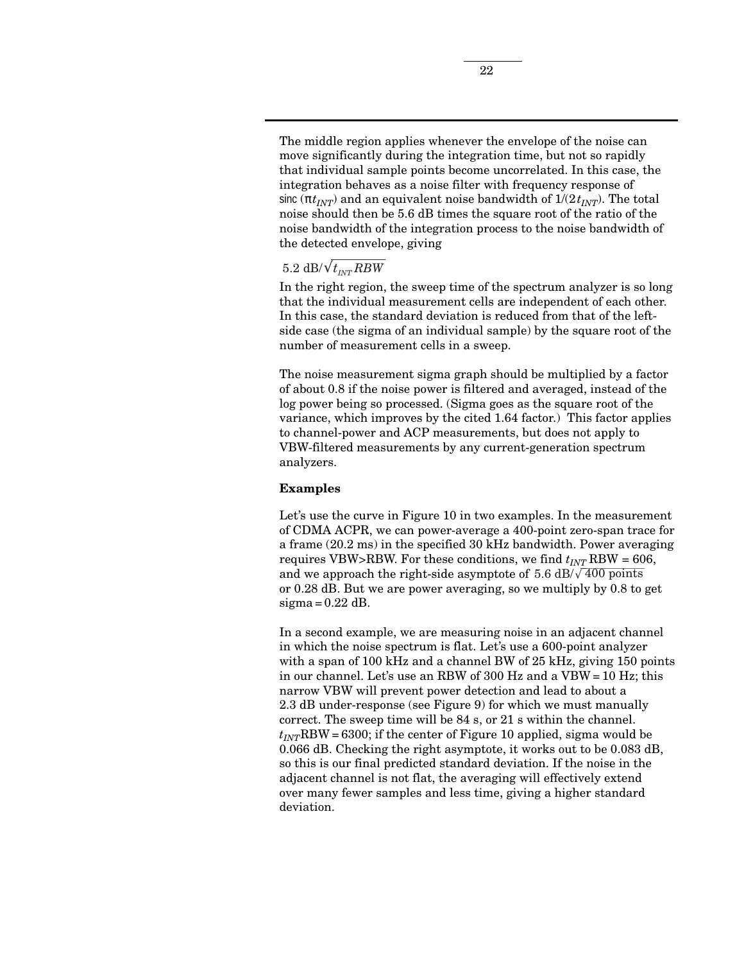The middle region applies whenever the envelope of the noise can move significantly during the integration time, but not so rapidly that individual sample points become uncorrelated. In this case, the integration behaves as a noise filter with frequency response of sinc ( $\pi t_{INT}$ ) and an equivalent noise bandwidth of  $1/(2t_{INT})$ . The total noise should then be 5.6 dB times the square root of the ratio of the noise bandwidth of the integration process to the noise bandwidth of the detected envelope, giving

# $5.2 \text{ dB}/\sqrt{t_{INT} RBW}$

In the right region, the sweep time of the spectrum analyzer is so long that the individual measurement cells are independent of each other. In this case, the standard deviation is reduced from that of the leftside case (the sigma of an individual sample) by the square root of the number of measurement cells in a sweep.

The noise measurement sigma graph should be multiplied by a factor of about 0.8 if the noise power is filtered and averaged, instead of the log power being so processed. (Sigma goes as the square root of the variance, which improves by the cited 1.64 factor.) This factor applies to channel-power and ACP measurements, but does not apply to VBW-filtered measurements by any current-generation spectrum analyzers.

#### **Examples**

Let's use the curve in Figure 10 in two examples. In the measurement of CDMA ACPR, we can power-average a 400-point zero-span trace for a frame (20.2 ms) in the specified 30 kHz bandwidth. Power averaging requires VBW>RBW. For these conditions, we find  $t_{INT}$  RBW = 606, and we approach the right-side asymptote of 5.6 dB/ $\sqrt{400}$  points or 0.28 dB. But we are power averaging, so we multiply by 0.8 to get  $sigma = 0.22$  dB.

In a second example, we are measuring noise in an adjacent channel in which the noise spectrum is flat. Let's use a 600-point analyzer with a span of 100 kHz and a channel BW of 25 kHz, giving 150 points in our channel. Let's use an RBW of 300 Hz and a VBW = 10 Hz; this narrow VBW will prevent power detection and lead to about a 2.3 dB under-response (see Figure 9) for which we must manually correct. The sweep time will be 84 s, or 21 s within the channel.  $t_{INT}$ RBW = 6300; if the center of Figure 10 applied, sigma would be 0.066 dB. Checking the right asymptote, it works out to be 0.083 dB, so this is our final predicted standard deviation. If the noise in the adjacent channel is not flat, the averaging will effectively extend over many fewer samples and less time, giving a higher standard deviation.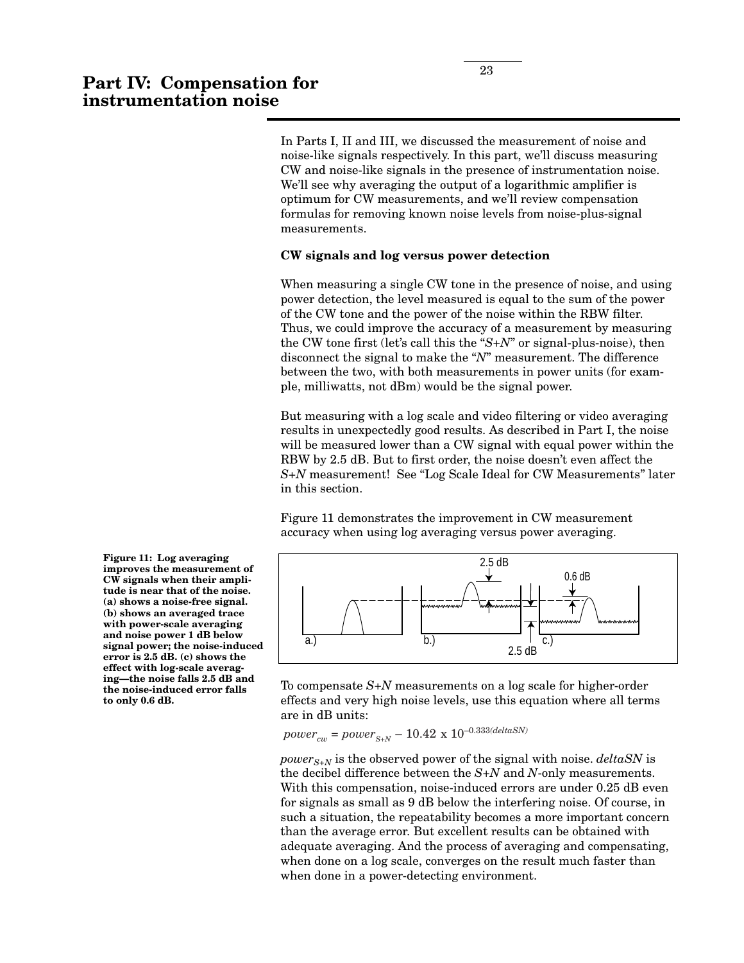In Parts I, II and III, we discussed the measurement of noise and noise-like signals respectively. In this part, we'll discuss measuring CW and noise-like signals in the presence of instrumentation noise. We'll see why averaging the output of a logarithmic amplifier is optimum for CW measurements, and we'll review compensation formulas for removing known noise levels from noise-plus-signal measurements.

#### **CW signals and log versus power detection**

When measuring a single CW tone in the presence of noise, and using power detection, the level measured is equal to the sum of the power of the CW tone and the power of the noise within the RBW filter. Thus, we could improve the accuracy of a measurement by measuring the CW tone first (let's call this the "*S+N*" or signal-plus-noise), then disconnect the signal to make the "*N*" measurement. The difference between the two, with both measurements in power units (for example, milliwatts, not dBm) would be the signal power.

But measuring with a log scale and video filtering or video averaging results in unexpectedly good results. As described in Part I, the noise will be measured lower than a CW signal with equal power within the RBW by 2.5 dB. But to first order, the noise doesn't even affect the *S+N* measurement! See "Log Scale Ideal for CW Measurements" later in this section.

Figure 11 demonstrates the improvement in CW measurement accuracy when using log averaging versus power averaging.



To compensate *S+N* measurements on a log scale for higher-order effects and very high noise levels, use this equation where all terms are in dB units:

 $power_{cw} = power_{S+N} - 10.42 \ge 10^{-0.333 (deltaNN)}$ 

*power*<sub>S+N</sub> is the observed power of the signal with noise. *deltaSN* is the decibel difference between the *S+N* and *N*-only measurements. With this compensation, noise-induced errors are under  $0.25$  dB even for signals as small as 9 dB below the interfering noise. Of course, in such a situation, the repeatability becomes a more important concern than the average error. But excellent results can be obtained with adequate averaging. And the process of averaging and compensating, when done on a log scale, converges on the result much faster than when done in a power-detecting environment.

**Figure 11: Log averaging improves the measurement of CW signals when their amplitude is near that of the noise. (a) shows a noise-free signal. (b) shows an averaged trace with power-scale averaging and noise power 1 dB below signal power; the noise-induced error is 2.5 dB. (c) shows the effect with log-scale averaging—the noise falls 2.5 dB and the noise-induced error falls to only 0.6 dB.**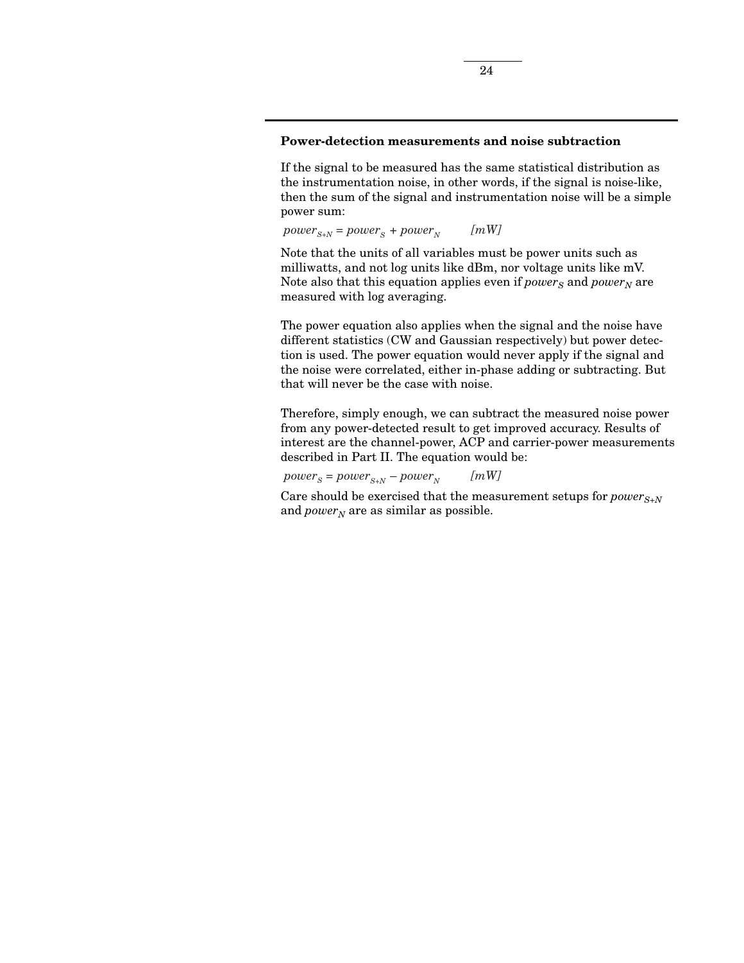## **Power-detection measurements and noise subtraction**

If the signal to be measured has the same statistical distribution as the instrumentation noise, in other words, if the signal is noise-like, then the sum of the signal and instrumentation noise will be a simple power sum:

 $power_{S+N} = power_{S} + power_{N}$  [mW]

Note that the units of all variables must be power units such as milliwatts, and not log units like dBm, nor voltage units like mV. Note also that this equation applies even if  $power_S$  and  $power_N$  are measured with log averaging.

The power equation also applies when the signal and the noise have different statistics (CW and Gaussian respectively) but power detection is used. The power equation would never apply if the signal and the noise were correlated, either in-phase adding or subtracting. But that will never be the case with noise.

Therefore, simply enough, we can subtract the measured noise power from any power-detected result to get improved accuracy. Results of interest are the channel-power, ACP and carrier-power measurements described in Part II. The equation would be:

 $power_S = power_{S+N} - power_N$  [mW]

Care should be exercised that the measurement setups for  $power_{S+N}$ and  $power_N$  are as similar as possible.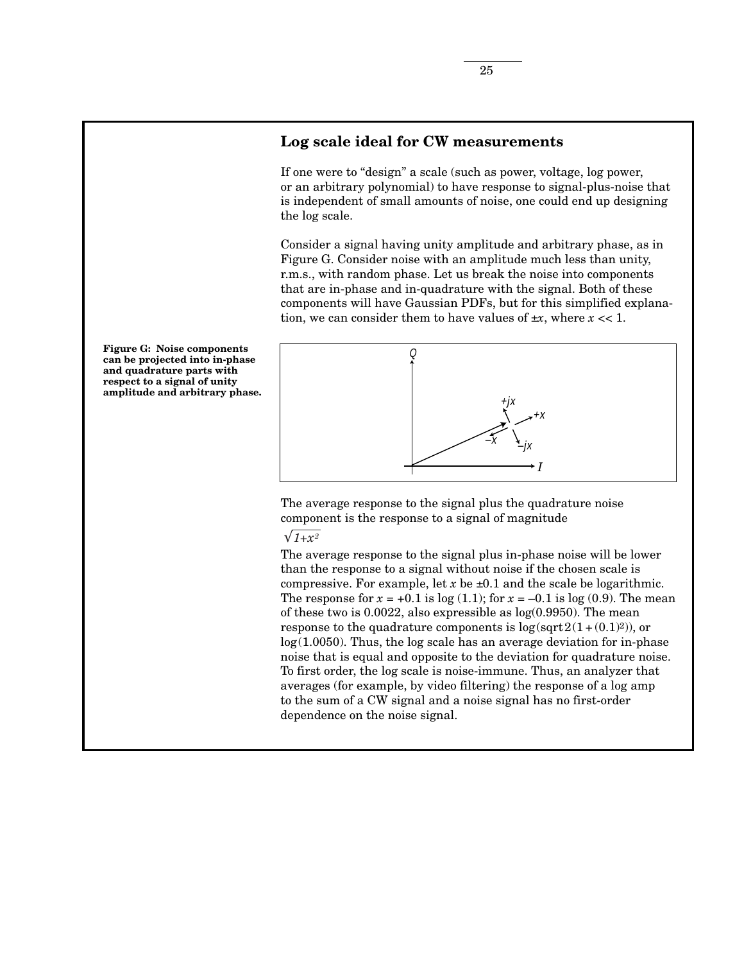# **Log scale ideal for CW measurements**

If one were to "design" a scale (such as power, voltage, log power, or an arbitrary polynomial) to have response to signal-plus-noise that is independent of small amounts of noise, one could end up designing the log scale.

Consider a signal having unity amplitude and arbitrary phase, as in Figure G. Consider noise with an amplitude much less than unity, r.m.s., with random phase. Let us break the noise into components that are in-phase and in-quadrature with the signal. Both of these components will have Gaussian PDFs, but for this simplified explanation, we can consider them to have values of  $\pm x$ , where  $x \ll 1$ .



The average response to the signal plus the quadrature noise component is the response to a signal of magnitude

## $\sqrt{1+x^2}$

The average response to the signal plus in-phase noise will be lower than the response to a signal without noise if the chosen scale is compressive. For example, let  $x$  be  $\pm 0.1$  and the scale be logarithmic. The response for  $x = +0.1$  is  $log(1.1)$ ; for  $x = -0.1$  is  $log(0.9)$ . The mean of these two is 0.0022, also expressible as log(0.9950). The mean response to the quadrature components is  $log(sqrt2(1+(0.1)^2))$ , or  $log(1.0050)$ . Thus, the log scale has an average deviation for in-phase noise that is equal and opposite to the deviation for quadrature noise. To first order, the log scale is noise-immune. Thus, an analyzer that averages (for example, by video filtering) the response of a log amp to the sum of a CW signal and a noise signal has no first-order dependence on the noise signal.

**Figure G: Noise components can be projected into in-phase and quadrature parts with respect to a signal of unity amplitude and arbitrary phase.**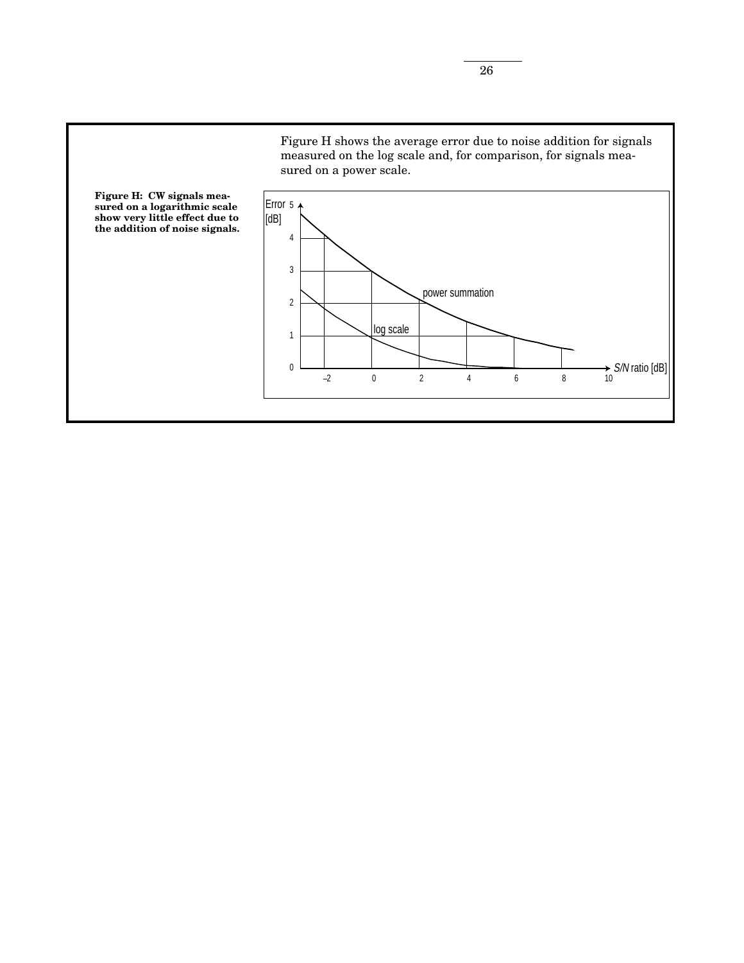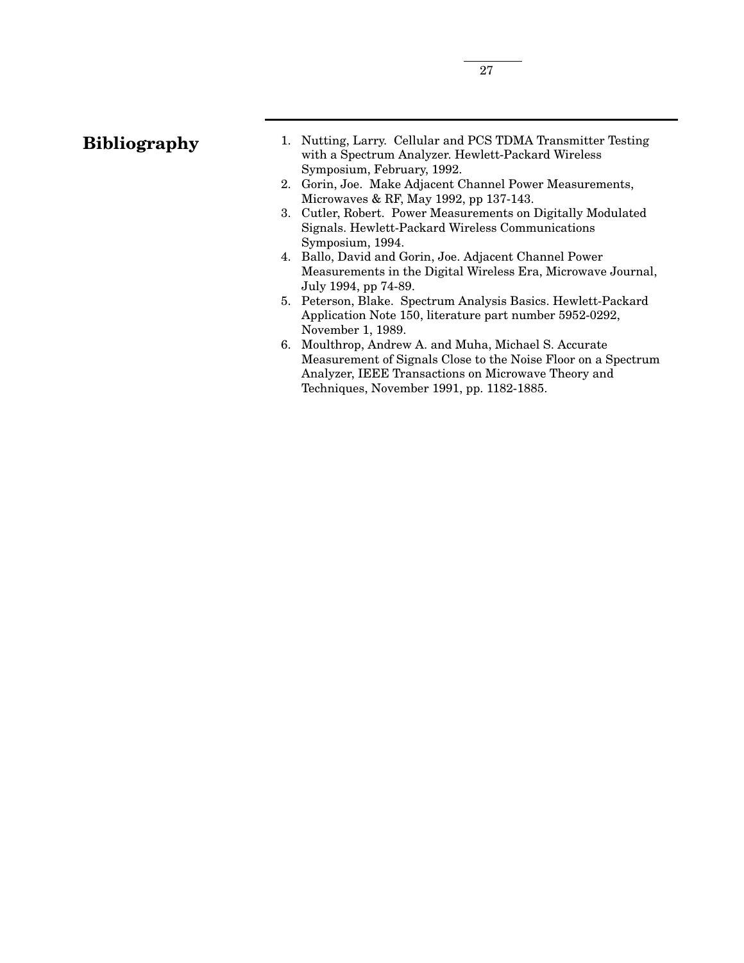- 1. Nutting, Larry. Cellular and PCS TDMA Transmitter Testing with a Spectrum Analyzer. Hewlett-Packard Wireless Symposium, February, 1992.
- 2. Gorin, Joe. Make Adjacent Channel Power Measurements, Microwaves & RF, May 1992, pp 137-143.
- 3. Cutler, Robert. Power Measurements on Digitally Modulated Signals. Hewlett-Packard Wireless Communications Symposium, 1994.
- 4. Ballo, David and Gorin, Joe. Adjacent Channel Power Measurements in the Digital Wireless Era, Microwave Journal, July 1994, pp 74-89.
- 5. Peterson, Blake. Spectrum Analysis Basics. Hewlett-Packard Application Note 150, literature part number 5952-0292, November 1, 1989.
- 6. Moulthrop, Andrew A. and Muha, Michael S. Accurate Measurement of Signals Close to the Noise Floor on a Spectrum Analyzer, IEEE Transactions on Microwave Theory and Techniques, November 1991, pp. 1182-1885.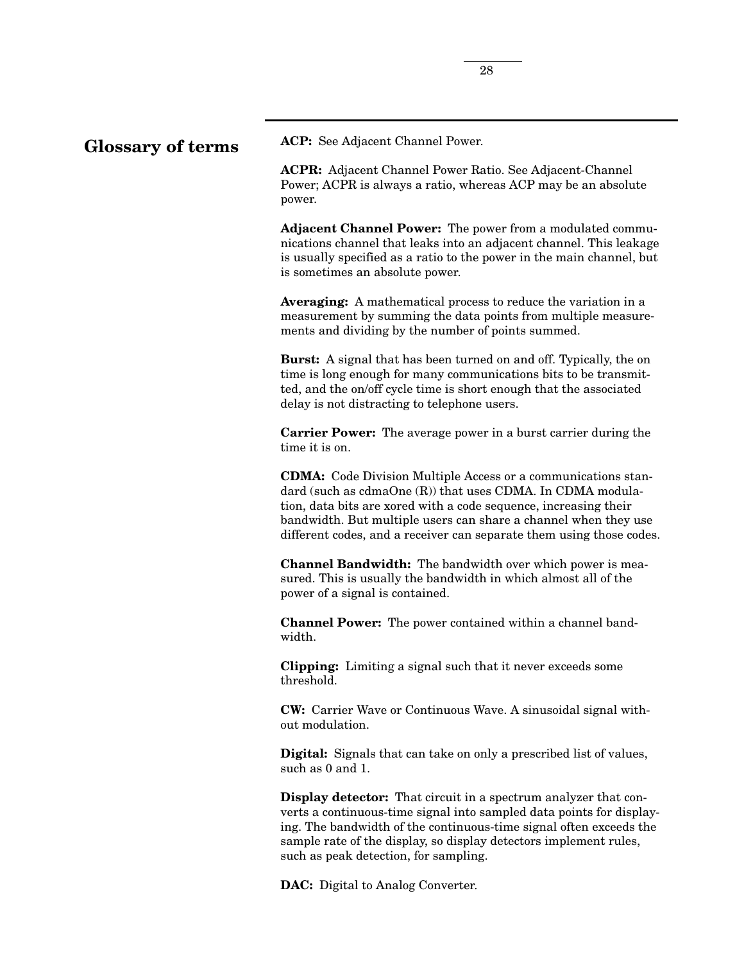# **Glossary of terms**

**ACP:** See Adjacent Channel Power.

**ACPR:** Adjacent Channel Power Ratio. See Adjacent-Channel Power; ACPR is always a ratio, whereas ACP may be an absolute power.

**Adjacent Channel Power:** The power from a modulated communications channel that leaks into an adjacent channel. This leakage is usually specified as a ratio to the power in the main channel, but is sometimes an absolute power.

**Averaging:** A mathematical process to reduce the variation in a measurement by summing the data points from multiple measurements and dividing by the number of points summed.

**Burst:** A signal that has been turned on and off. Typically, the on time is long enough for many communications bits to be transmitted, and the on/off cycle time is short enough that the associated delay is not distracting to telephone users.

**Carrier Power:** The average power in a burst carrier during the time it is on.

**CDMA:** Code Division Multiple Access or a communications standard (such as cdmaOne (R)) that uses CDMA. In CDMA modulation, data bits are xored with a code sequence, increasing their bandwidth. But multiple users can share a channel when they use different codes, and a receiver can separate them using those codes.

**Channel Bandwidth:** The bandwidth over which power is measured. This is usually the bandwidth in which almost all of the power of a signal is contained.

**Channel Power:** The power contained within a channel bandwidth.

**Clipping:** Limiting a signal such that it never exceeds some threshold.

**CW:** Carrier Wave or Continuous Wave. A sinusoidal signal without modulation.

**Digital:** Signals that can take on only a prescribed list of values, such as 0 and 1.

**Display detector:** That circuit in a spectrum analyzer that converts a continuous-time signal into sampled data points for displaying. The bandwidth of the continuous-time signal often exceeds the sample rate of the display, so display detectors implement rules, such as peak detection, for sampling.

**DAC:** Digital to Analog Converter.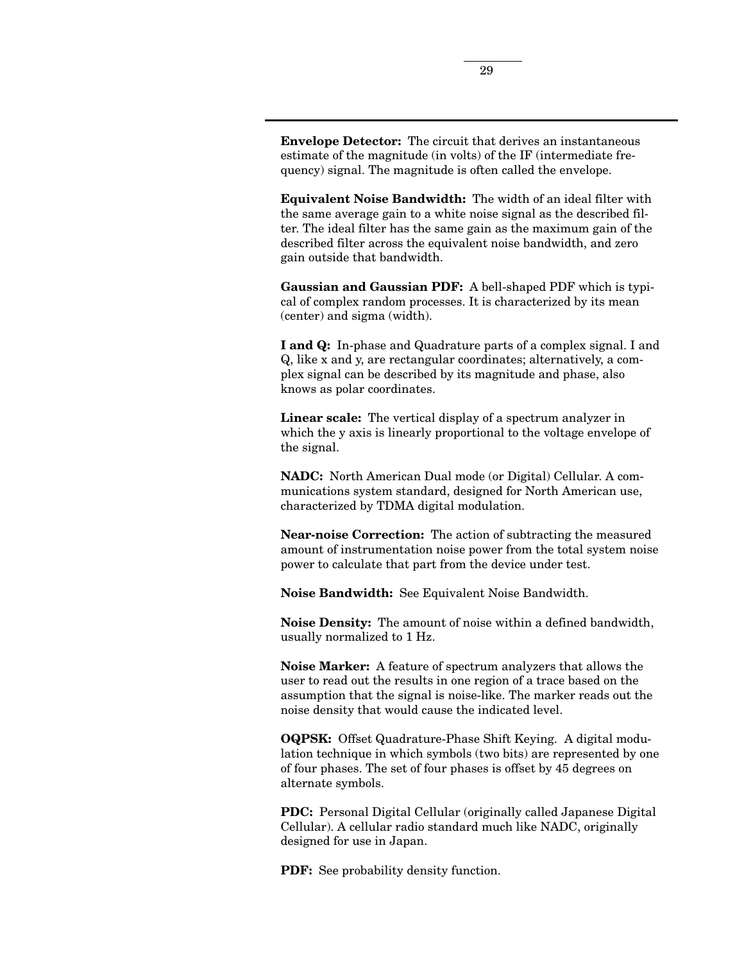**Envelope Detector:** The circuit that derives an instantaneous estimate of the magnitude (in volts) of the IF (intermediate frequency) signal. The magnitude is often called the envelope.

**Equivalent Noise Bandwidth:** The width of an ideal filter with the same average gain to a white noise signal as the described filter. The ideal filter has the same gain as the maximum gain of the described filter across the equivalent noise bandwidth, and zero gain outside that bandwidth.

**Gaussian and Gaussian PDF:** A bell-shaped PDF which is typical of complex random processes. It is characterized by its mean (center) and sigma (width).

**I and Q:** In-phase and Quadrature parts of a complex signal. I and Q, like x and y, are rectangular coordinates; alternatively, a complex signal can be described by its magnitude and phase, also knows as polar coordinates.

**Linear scale:** The vertical display of a spectrum analyzer in which the y axis is linearly proportional to the voltage envelope of the signal.

**NADC:** North American Dual mode (or Digital) Cellular. A communications system standard, designed for North American use, characterized by TDMA digital modulation.

**Near-noise Correction:** The action of subtracting the measured amount of instrumentation noise power from the total system noise power to calculate that part from the device under test.

**Noise Bandwidth:** See Equivalent Noise Bandwidth.

**Noise Density:** The amount of noise within a defined bandwidth, usually normalized to 1 Hz.

**Noise Marker:** A feature of spectrum analyzers that allows the user to read out the results in one region of a trace based on the assumption that the signal is noise-like. The marker reads out the noise density that would cause the indicated level.

**OQPSK:** Offset Quadrature-Phase Shift Keying. A digital modulation technique in which symbols (two bits) are represented by one of four phases. The set of four phases is offset by 45 degrees on alternate symbols.

**PDC:** Personal Digital Cellular (originally called Japanese Digital Cellular). A cellular radio standard much like NADC, originally designed for use in Japan.

**PDF:** See probability density function.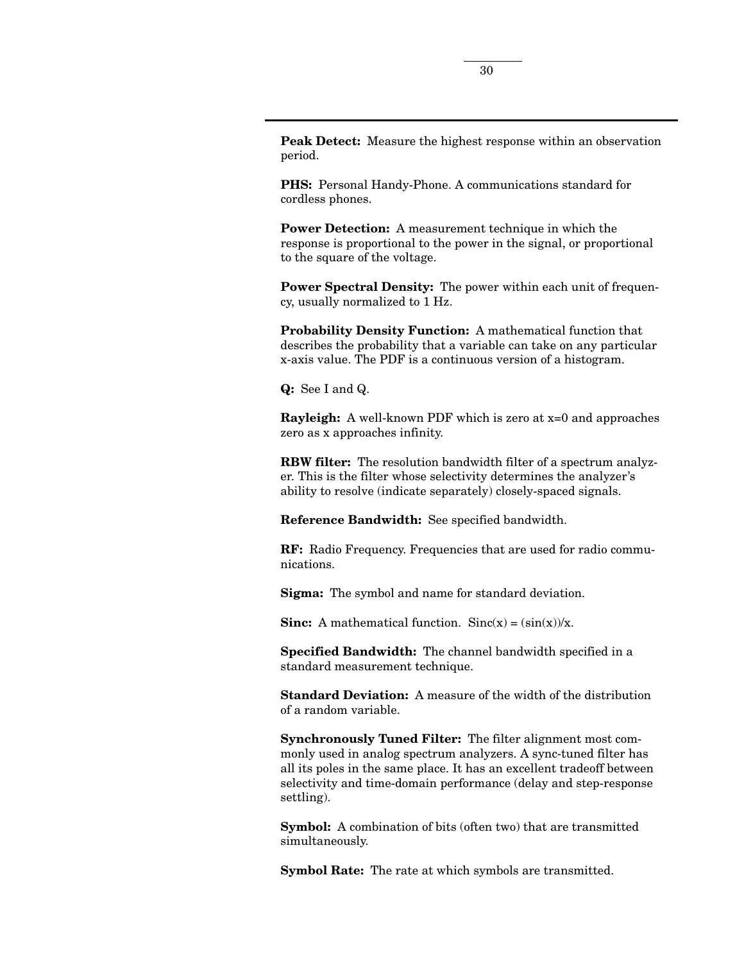**Peak Detect:** Measure the highest response within an observation period.

**PHS:** Personal Handy-Phone. A communications standard for cordless phones.

**Power Detection:** A measurement technique in which the response is proportional to the power in the signal, or proportional to the square of the voltage.

**Power Spectral Density:** The power within each unit of frequency, usually normalized to 1 Hz.

**Probability Density Function:** A mathematical function that describes the probability that a variable can take on any particular x-axis value. The PDF is a continuous version of a histogram.

**Q:** See I and Q.

**Rayleigh:** A well-known PDF which is zero at x=0 and approaches zero as x approaches infinity.

**RBW filter:** The resolution bandwidth filter of a spectrum analyzer. This is the filter whose selectivity determines the analyzer's ability to resolve (indicate separately) closely-spaced signals.

**Reference Bandwidth:** See specified bandwidth.

**RF:** Radio Frequency. Frequencies that are used for radio communications.

**Sigma:** The symbol and name for standard deviation.

**Sinc:** A mathematical function.  $Sinc(x) = (sin(x))/x$ .

**Specified Bandwidth:** The channel bandwidth specified in a standard measurement technique.

**Standard Deviation:** A measure of the width of the distribution of a random variable.

**Synchronously Tuned Filter:** The filter alignment most commonly used in analog spectrum analyzers. A sync-tuned filter has all its poles in the same place. It has an excellent tradeoff between selectivity and time-domain performance (delay and step-response settling).

**Symbol:** A combination of bits (often two) that are transmitted simultaneously.

**Symbol Rate:** The rate at which symbols are transmitted.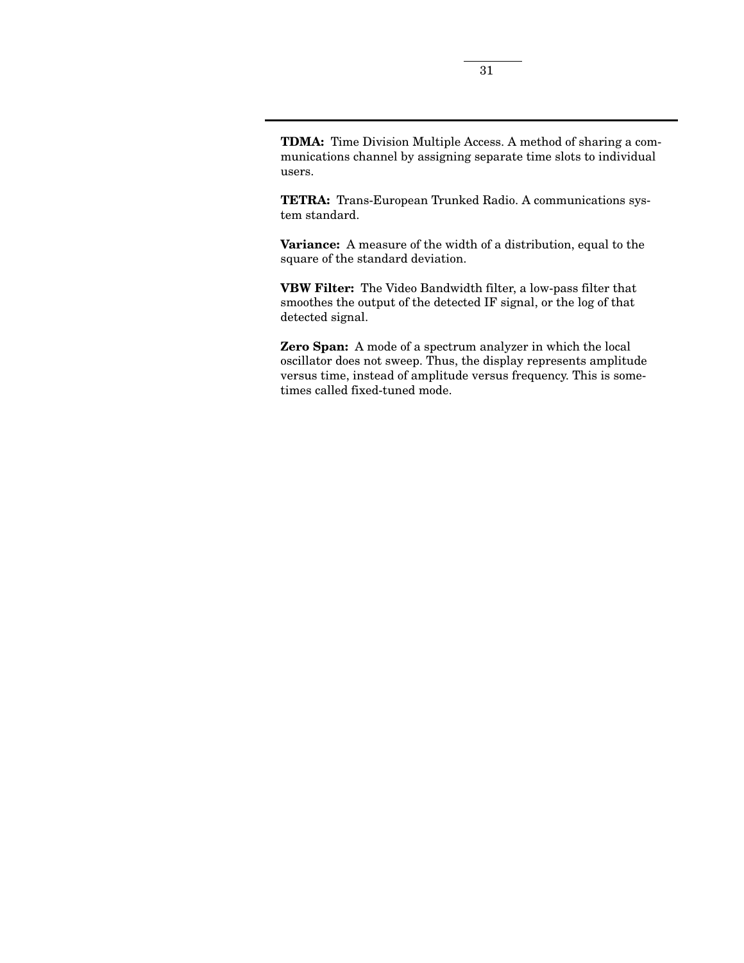**TDMA:** Time Division Multiple Access. A method of sharing a communications channel by assigning separate time slots to individual users.

**TETRA:** Trans-European Trunked Radio. A communications system standard.

**Variance:** A measure of the width of a distribution, equal to the square of the standard deviation.

**VBW Filter:** The Video Bandwidth filter, a low-pass filter that smoothes the output of the detected IF signal, or the log of that detected signal.

**Zero Span:** A mode of a spectrum analyzer in which the local oscillator does not sweep. Thus, the display represents amplitude versus time, instead of amplitude versus frequency. This is sometimes called fixed-tuned mode.